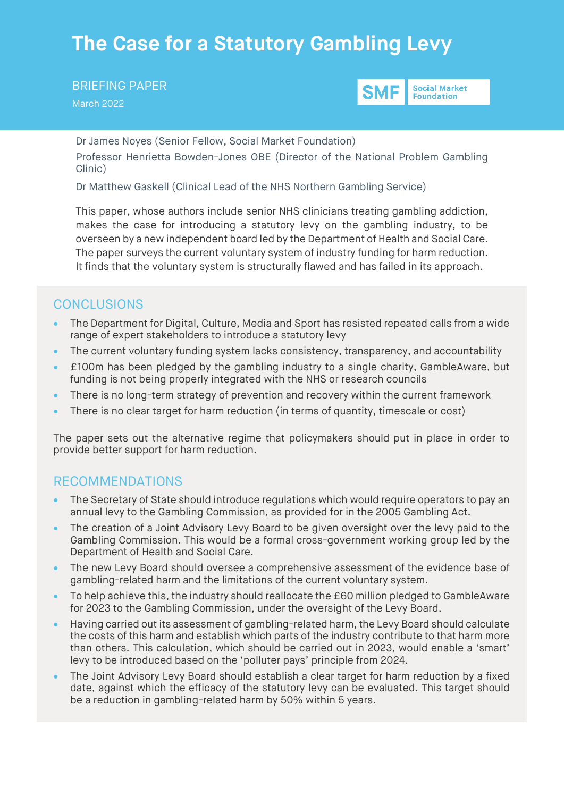# **The Case for a Statutory Gambling Levy**

BRIEFING PAPER March 2022



Dr James Noyes (Senior Fellow, Social Market Foundation) Professor Henrietta Bowden-Jones OBE (Director of the National Problem Gambling Clinic)

Dr Matthew Gaskell (Clinical Lead of the NHS Northern Gambling Service)

This paper, whose authors include senior NHS clinicians treating gambling addiction, makes the case for introducing a statutory levy on the gambling industry, to be overseen by a new independent board led by the Department of Health and Social Care. The paper surveys the current voluntary system of industry funding for harm reduction. It finds that the voluntary system is structurally flawed and has failed in its approach.

# **CONCLUSIONS**

- The Department for Digital, Culture, Media and Sport has resisted repeated calls from a wide range of expert stakeholders to introduce a statutory levy
- The current voluntary funding system lacks consistency, transparency, and accountability
- £100m has been pledged by the gambling industry to a single charity, GambleAware, but funding is not being properly integrated with the NHS or research councils
- There is no long-term strategy of prevention and recovery within the current framework
- There is no clear target for harm reduction (in terms of quantity, timescale or cost)

The paper sets out the alternative regime that policymakers should put in place in order to provide better support for harm reduction.

### RECOMMENDATIONS

- The Secretary of State should introduce regulations which would require operators to pay an annual levy to the Gambling Commission, as provided for in the 2005 Gambling Act.
- The creation of a Joint Advisory Levy Board to be given oversight over the levy paid to the Gambling Commission. This would be a formal cross-government working group led by the Department of Health and Social Care.
- The new Levy Board should oversee a comprehensive assessment of the evidence base of gambling-related harm and the limitations of the current voluntary system.
- To help achieve this, the industry should reallocate the £60 million pledged to GambleAware for 2023 to the Gambling Commission, under the oversight of the Levy Board.
- Having carried out its assessment of gambling-related harm, the Levy Board should calculate the costs of this harm and establish which parts of the industry contribute to that harm more than others. This calculation, which should be carried out in 2023, would enable a 'smart' levy to be introduced based on the 'polluter pays' principle from 2024.
- The Joint Advisory Levy Board should establish a clear target for harm reduction by a fixed date, against which the efficacy of the statutory levy can be evaluated. This target should be a reduction in gambling-related harm by 50% within 5 years.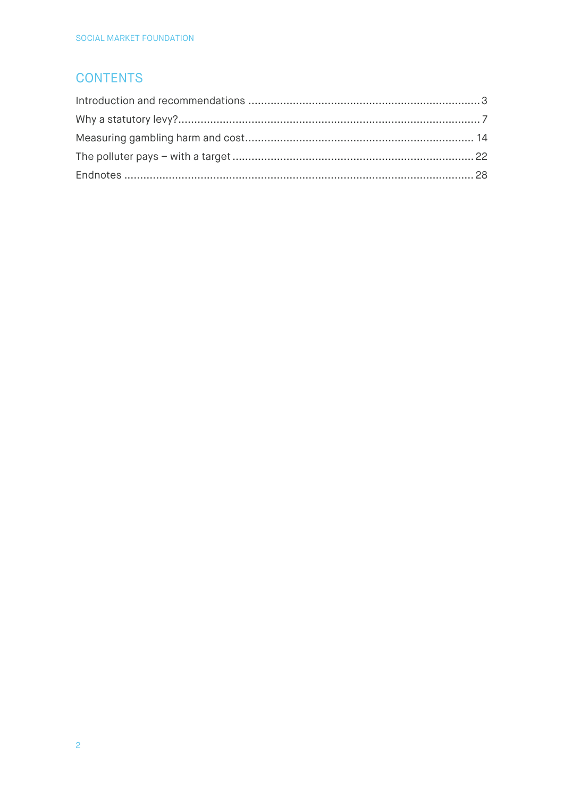# **CONTENTS**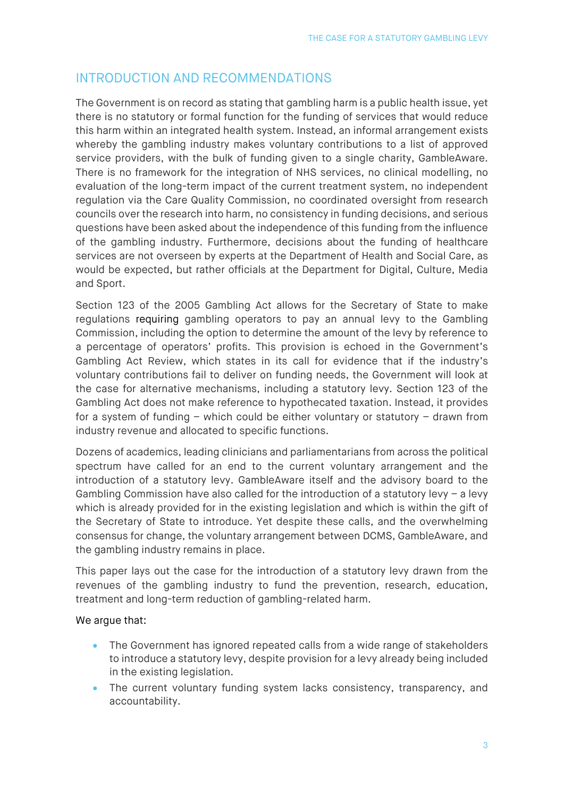# <span id="page-2-0"></span>INTRODUCTION AND RECOMMENDATIONS

The Government is on record as stating that gambling harm is a public health issue, yet there is no statutory or formal function for the funding of services that would reduce this harm within an integrated health system. Instead, an informal arrangement exists whereby the gambling industry makes voluntary contributions to a list of approved service providers, with the bulk of funding given to a single charity, GambleAware. There is no framework for the integration of NHS services, no clinical modelling, no evaluation of the long-term impact of the current treatment system, no independent regulation via the Care Quality Commission, no coordinated oversight from research councils over the research into harm, no consistency in funding decisions, and serious questions have been asked about the independence of this funding from the influence of the gambling industry. Furthermore, decisions about the funding of healthcare services are not overseen by experts at the Department of Health and Social Care, as would be expected, but rather officials at the Department for Digital, Culture, Media and Sport.

Section 123 of the 2005 Gambling Act allows for the Secretary of State to make regulations requiring gambling operators to pay an annual levy to the Gambling Commission, including the option to determine the amount of the levy by reference to a percentage of operators' profits. This provision is echoed in the Government's Gambling Act Review, which states in its call for evidence that if the industry's voluntary contributions fail to deliver on funding needs, the Government will look at the case for alternative mechanisms, including a statutory levy. Section 123 of the Gambling Act does not make reference to hypothecated taxation. Instead, it provides for a system of funding – which could be either voluntary or statutory – drawn from industry revenue and allocated to specific functions.

Dozens of academics, leading clinicians and parliamentarians from across the political spectrum have called for an end to the current voluntary arrangement and the introduction of a statutory levy. GambleAware itself and the advisory board to the Gambling Commission have also called for the introduction of a statutory levy – a levy which is already provided for in the existing legislation and which is within the gift of the Secretary of State to introduce. Yet despite these calls, and the overwhelming consensus for change, the voluntary arrangement between DCMS, GambleAware, and the gambling industry remains in place.

This paper lays out the case for the introduction of a statutory levy drawn from the revenues of the gambling industry to fund the prevention, research, education, treatment and long-term reduction of gambling-related harm.

#### We argue that:

- The Government has ignored repeated calls from a wide range of stakeholders to introduce a statutory levy, despite provision for a levy already being included in the existing legislation.
- The current voluntary funding system lacks consistency, transparency, and accountability.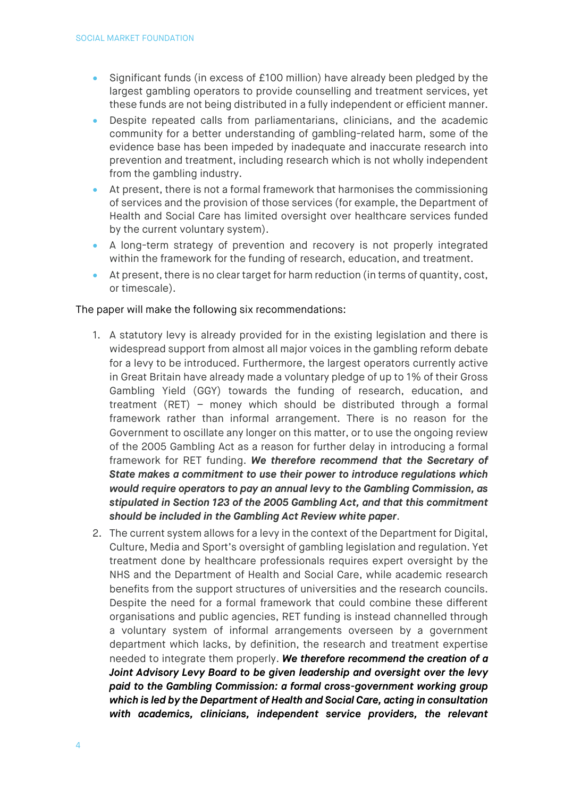- Significant funds (in excess of £100 million) have already been pledged by the largest gambling operators to provide counselling and treatment services, yet these funds are not being distributed in a fully independent or efficient manner.
- Despite repeated calls from parliamentarians, clinicians, and the academic community for a better understanding of gambling-related harm, some of the evidence base has been impeded by inadequate and inaccurate research into prevention and treatment, including research which is not wholly independent from the gambling industry.
- At present, there is not a formal framework that harmonises the commissioning of services and the provision of those services (for example, the Department of Health and Social Care has limited oversight over healthcare services funded by the current voluntary system).
- A long-term strategy of prevention and recovery is not properly integrated within the framework for the funding of research, education, and treatment.
- At present, there is no clear target for harm reduction (in terms of quantity, cost, or timescale).

#### The paper will make the following six recommendations:

- 1. A statutory levy is already provided for in the existing legislation and there is widespread support from almost all major voices in the gambling reform debate for a levy to be introduced. Furthermore, the largest operators currently active in Great Britain have already made a voluntary pledge of up to 1% of their Gross Gambling Yield (GGY) towards the funding of research, education, and treatment (RET) – money which should be distributed through a formal framework rather than informal arrangement. There is no reason for the Government to oscillate any longer on this matter, or to use the ongoing review of the 2005 Gambling Act as a reason for further delay in introducing a formal framework for RET funding. *We therefore recommend that the Secretary of State makes a commitment to use their power to introduce regulations which would require operators to pay an annual levy to the Gambling Commission, as stipulated in Section 123 of the 2005 Gambling Act, and that this commitment should be included in the Gambling Act Review white paper*.
- 2. The current system allows for a levy in the context of the Department for Digital, Culture, Media and Sport's oversight of gambling legislation and regulation. Yet treatment done by healthcare professionals requires expert oversight by the NHS and the Department of Health and Social Care, while academic research benefits from the support structures of universities and the research councils. Despite the need for a formal framework that could combine these different organisations and public agencies, RET funding is instead channelled through a voluntary system of informal arrangements overseen by a government department which lacks, by definition, the research and treatment expertise needed to integrate them properly. *We therefore recommend the creation of a Joint Advisory Levy Board to be given leadership and oversight over the levy paid to the Gambling Commission: a formal cross-government working group which is led by the Department of Health and Social Care, acting in consultation with academics, clinicians, independent service providers, the relevant*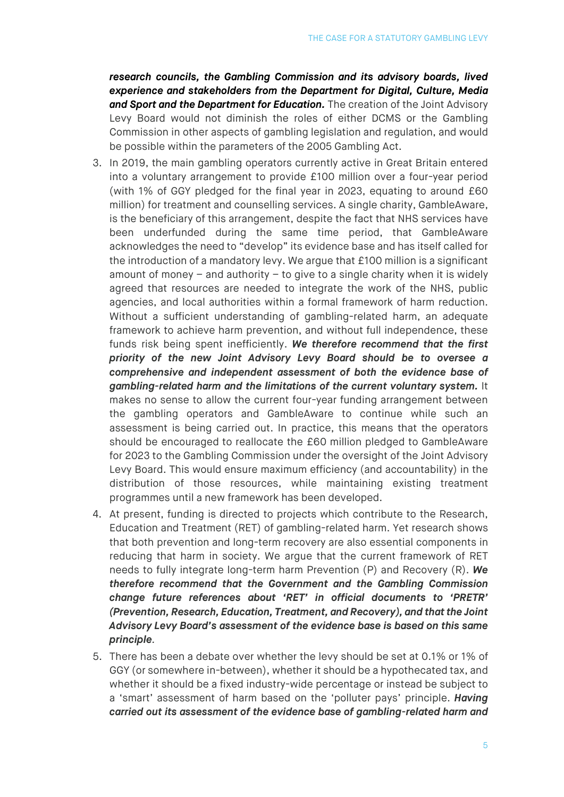*research councils, the Gambling Commission and its advisory boards, lived experience and stakeholders from the Department for Digital, Culture, Media and Sport and the Department for Education.* The creation of the Joint Advisory Levy Board would not diminish the roles of either DCMS or the Gambling Commission in other aspects of gambling legislation and regulation, and would be possible within the parameters of the 2005 Gambling Act.

- 3. In 2019, the main gambling operators currently active in Great Britain entered into a voluntary arrangement to provide £100 million over a four-year period (with 1% of GGY pledged for the final year in 2023, equating to around £60 million) for treatment and counselling services. A single charity, GambleAware, is the beneficiary of this arrangement, despite the fact that NHS services have been underfunded during the same time period, that GambleAware acknowledges the need to "develop" its evidence base and has itself called for the introduction of a mandatory levy. We argue that £100 million is a significant amount of money – and authority – to give to a single charity when it is widely agreed that resources are needed to integrate the work of the NHS, public agencies, and local authorities within a formal framework of harm reduction. Without a sufficient understanding of gambling-related harm, an adequate framework to achieve harm prevention, and without full independence, these funds risk being spent inefficiently. *We therefore recommend that the first priority of the new Joint Advisory Levy Board should be to oversee a comprehensive and independent assessment of both the evidence base of gambling-related harm and the limitations of the current voluntary system.* It makes no sense to allow the current four-year funding arrangement between the gambling operators and GambleAware to continue while such an assessment is being carried out. In practice, this means that the operators should be encouraged to reallocate the £60 million pledged to GambleAware for 2023 to the Gambling Commission under the oversight of the Joint Advisory Levy Board. This would ensure maximum efficiency (and accountability) in the distribution of those resources, while maintaining existing treatment programmes until a new framework has been developed.
- 4. At present, funding is directed to projects which contribute to the Research, Education and Treatment (RET) of gambling-related harm. Yet research shows that both prevention and long-term recovery are also essential components in reducing that harm in society. We argue that the current framework of RET needs to fully integrate long-term harm Prevention (P) and Recovery (R). *We therefore recommend that the Government and the Gambling Commission change future references about 'RET' in official documents to 'PRETR' (Prevention, Research, Education, Treatment, and Recovery), and that the Joint Advisory Levy Board's assessment of the evidence base is based on this same principle.*
- 5. There has been a debate over whether the levy should be set at 0.1% or 1% of GGY (or somewhere in-between), whether it should be a hypothecated tax, and whether it should be a fixed industry-wide percentage or instead be subject to a 'smart' assessment of harm based on the 'polluter pays' principle. *Having carried out its assessment of the evidence base of gambling-related harm and*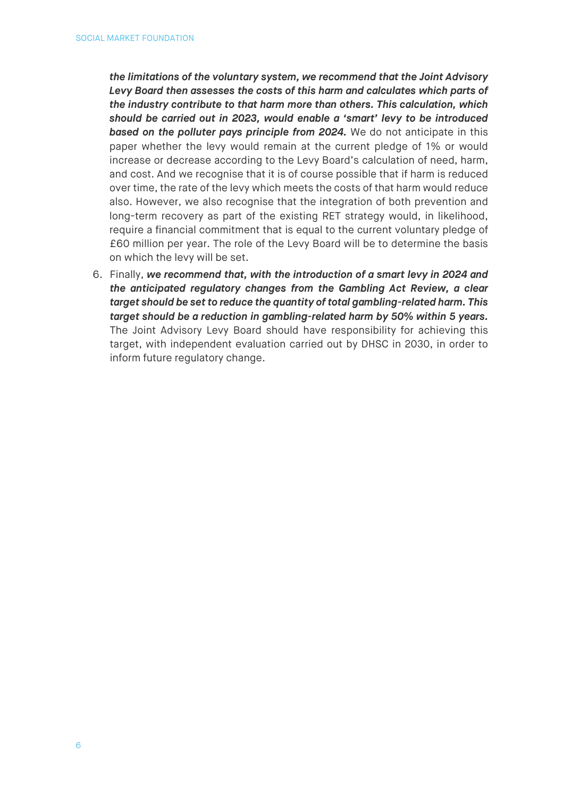*the limitations of the voluntary system, we recommend that the Joint Advisory Levy Board then assesses the costs of this harm and calculates which parts of the industry contribute to that harm more than others. This calculation, which should be carried out in 2023, would enable a 'smart' levy to be introduced based on the polluter pays principle from 2024.* We do not anticipate in this paper whether the levy would remain at the current pledge of 1% or would increase or decrease according to the Levy Board's calculation of need, harm, and cost. And we recognise that it is of course possible that if harm is reduced over time, the rate of the levy which meets the costs of that harm would reduce also. However, we also recognise that the integration of both prevention and long-term recovery as part of the existing RET strategy would, in likelihood, require a financial commitment that is equal to the current voluntary pledge of £60 million per year. The role of the Levy Board will be to determine the basis on which the levy will be set.

6. Finally, *we recommend that, with the introduction of a smart levy in 2024 and the anticipated regulatory changes from the Gambling Act Review, a clear target should be set to reduce the quantity of total gambling-related harm. This target should be a reduction in gambling-related harm by 50% within 5 years.* The Joint Advisory Levy Board should have responsibility for achieving this target, with independent evaluation carried out by DHSC in 2030, in order to inform future regulatory change.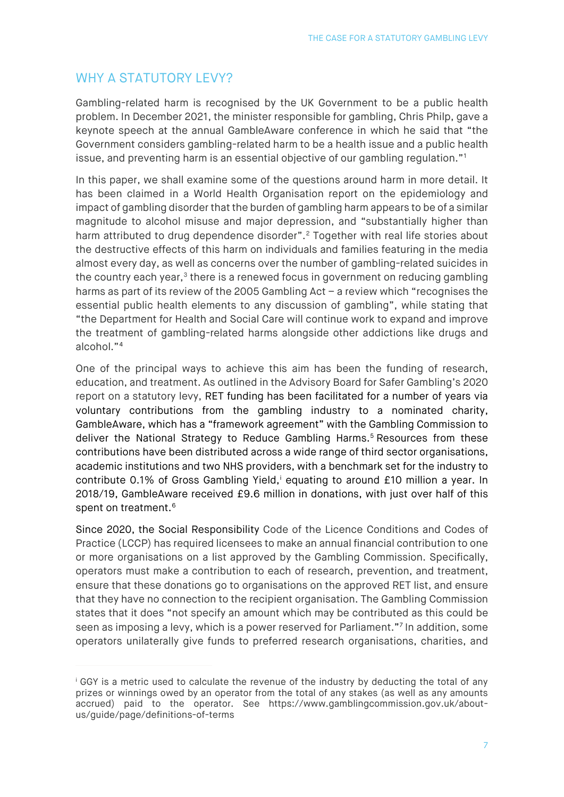# <span id="page-6-0"></span>WHY A STATUTORY LEVY?

Gambling-related harm is recognised by the UK Government to be a public health problem. In December 2021, the minister responsible for gambling, Chris Philp, gave a keynote speech at the annual GambleAware conference in which he said that "the Government considers gambling-related harm to be a health issue and a public health issue, and preventing harm is an essential objective of our gambling regulation."[1](#page-27-1)

In this paper, we shall examine some of the questions around harm in more detail. It has been claimed in a World Health Organisation report on the epidemiology and impact of gambling disorder that the burden of gambling harm appears to be of a similar magnitude to alcohol misuse and major depression, and "substantially higher than harm attributed to drug dependence disorder".<sup>[2](#page-27-2)</sup> Together with real life stories about the destructive effects of this harm on individuals and families featuring in the media almost every day, as well as concerns over the number of gambling-related suicides in the country each year, $3$  there is a renewed focus in government on reducing gambling harms as part of its review of the 2005 Gambling Act – a review which "recognises the essential public health elements to any discussion of gambling", while stating that "the Department for Health and Social Care will continue work to expand and improve the treatment of gambling-related harms alongside other addictions like drugs and alcohol."[4](#page-27-4)

One of the principal ways to achieve this aim has been the funding of research, education, and treatment. As outlined in the Advisory Board for Safer Gambling's 2020 report on a statutory levy, RET funding has been facilitated for a number of years via voluntary contributions from the gambling industry to a nominated charity, GambleAware, which has a "framework agreement" with the Gambling Commission to deliver the National Strategy to Reduce Gambling Harms.<sup>[5](#page-27-5)</sup> Resources from these contributions have been distributed across a wide range of third sector organisations, academic institutions and two NHS providers, with a benchmark set for the industry to contr[i](#page-6-1)bute 0.1% of Gross Gambling Yield,<sup>i</sup> equating to around £10 million a year. In 2018/19, GambleAware received £9.6 million in donations, with just over half of this spent on treatment.<sup>6</sup>

Since 2020, the Social Responsibility Code of the Licence Conditions and Codes of Practice (LCCP) has required licensees to make an annual financial contribution to one or more organisations on a list approved by the Gambling Commission. Specifically, operators must make a contribution to each of research, prevention, and treatment, ensure that these donations go to organisations on the approved RET list, and ensure that they have no connection to the recipient organisation. The Gambling Commission states that it does "not specify an amount which may be contributed as this could be seen as imposing a levy, which is a power reserved for Parliament."[7](#page-27-7) In addition, some operators unilaterally give funds to preferred research organisations, charities, and

<span id="page-6-1"></span><sup>i</sup> GGY is a metric used to calculate the revenue of the industry by deducting the total of any prizes or winnings owed by an operator from the total of any stakes (as well as any amounts accrued) paid to the operator. See [https://www.gamblingcommission.gov.uk/about](https://www.gamblingcommission.gov.uk/about-us/guide/page/definitions-of-terms)[us/guide/page/definitions-of-terms](https://www.gamblingcommission.gov.uk/about-us/guide/page/definitions-of-terms)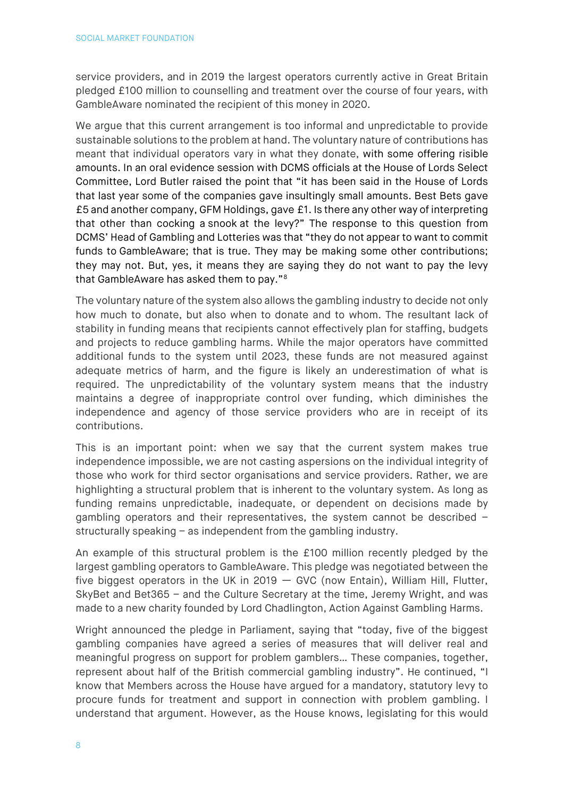service providers, and in 2019 the largest operators currently active in Great Britain pledged £100 million to counselling and treatment over the course of four years, with GambleAware nominated the recipient of this money in 2020.

We argue that this current arrangement is too informal and unpredictable to provide sustainable solutions to the problem at hand. The voluntary nature of contributions has meant that individual operators vary in what they donate, with some offering risible amounts. In an oral evidence session with DCMS officials at the House of Lords Select Committee, Lord Butler raised the point that "it has been said in the House of Lords that last year some of the companies gave insultingly small amounts. Best Bets gave £5 and another company, GFM Holdings, gave £1. Is there any other way of interpreting that other than cocking a snook at the levy?" The response to this question from DCMS' Head of Gambling and Lotteries was that "they do not appear to want to commit funds to GambleAware; that is true. They may be making some other contributions; they may not. But, yes, it means they are saying they do not want to pay the levy that GambleAware has asked them to pay."[8](#page-27-8)

The voluntary nature of the system also allows the gambling industry to decide not only how much to donate, but also when to donate and to whom. The resultant lack of stability in funding means that recipients cannot effectively plan for staffing, budgets and projects to reduce gambling harms. While the major operators have committed additional funds to the system until 2023, these funds are not measured against adequate metrics of harm, and the figure is likely an underestimation of what is required. The unpredictability of the voluntary system means that the industry maintains a degree of inappropriate control over funding, which diminishes the independence and agency of those service providers who are in receipt of its contributions.

This is an important point: when we say that the current system makes true independence impossible, we are not casting aspersions on the individual integrity of those who work for third sector organisations and service providers. Rather, we are highlighting a structural problem that is inherent to the voluntary system. As long as funding remains unpredictable, inadequate, or dependent on decisions made by gambling operators and their representatives, the system cannot be described – structurally speaking – as independent from the gambling industry.

An example of this structural problem is the £100 million recently pledged by the largest gambling operators to GambleAware. This pledge was negotiated between the five biggest operators in the UK in 2019  $-$  GVC (now Entain), William Hill, Flutter, SkyBet and Bet365 – and the Culture Secretary at the time, Jeremy Wright, and was made to a new charity founded by Lord Chadlington, Action Against Gambling Harms.

Wright announced the pledge in Parliament, saying that "today, five of the biggest gambling companies have agreed a series of measures that will deliver real and meaningful progress on support for problem gamblers… These companies, together, represent about half of the British commercial gambling industry". He continued, "I know that Members across the House have argued for a mandatory, statutory levy to procure funds for treatment and support in connection with problem gambling. I understand that argument. However, as the House knows, legislating for this would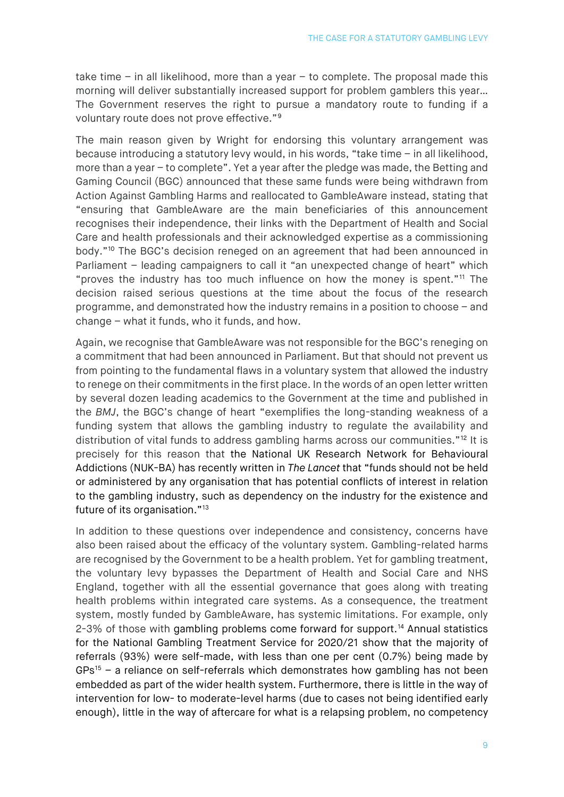take time – in all likelihood, more than a year – to complete. The proposal made this morning will deliver substantially increased support for problem gamblers this year… The Government reserves the right to pursue a mandatory route to funding if a voluntary route does not prove effective."[9](#page-27-9)

The main reason given by Wright for endorsing this voluntary arrangement was because introducing a statutory levy would, in his words, "take time – in all likelihood, more than a year – to complete". Yet a year after the pledge was made, the Betting and Gaming Council (BGC) announced that these same funds were being withdrawn from Action Against Gambling Harms and reallocated to GambleAware instead, stating that "ensuring that GambleAware are the main beneficiaries of this announcement recognises their independence, their links with the Department of Health and Social Care and health professionals and their acknowledged expertise as a commissioning body."[10](#page-27-10) The BGC's decision reneged on an agreement that had been announced in Parliament – leading campaigners to call it "an unexpected change of heart" which "proves the industry has too much influence on how the money is spent."[11](#page-27-11) The decision raised serious questions at the time about the focus of the research programme, and demonstrated how the industry remains in a position to choose – and change – what it funds, who it funds, and how.

Again, we recognise that GambleAware was not responsible for the BGC's reneging on a commitment that had been announced in Parliament. But that should not prevent us from pointing to the fundamental flaws in a voluntary system that allowed the industry to renege on their commitments in the first place. In the words of an open letter written by several dozen leading academics to the Government at the time and published in the *BMJ*, the BGC's change of heart "exemplifies the long-standing weakness of a funding system that allows the gambling industry to regulate the availability and distribution of vital funds to address gambling harms across our communities."<sup>[12](#page-27-12)</sup> It is precisely for this reason that the National UK Research Network for Behavioural Addictions (NUK-BA) has recently written in *The Lancet* that "funds should not be held or administered by any organisation that has potential conflicts of interest in relation to the gambling industry, such as dependency on the industry for the existence and future of its organisation."<sup>[13](#page-27-13)</sup>

In addition to these questions over independence and consistency, concerns have also been raised about the efficacy of the voluntary system. Gambling-related harms are recognised by the Government to be a health problem. Yet for gambling treatment, the voluntary levy bypasses the Department of Health and Social Care and NHS England, together with all the essential governance that goes along with treating health problems within integrated care systems. As a consequence, the treatment system, mostly funded by GambleAware, has systemic limitations. For example, only 2-3% of those with gambling problems come forward for support.<sup>[14](#page-27-14)</sup> Annual statistics for the National Gambling Treatment Service for 2020/21 show that the majority of referrals (93%) were self-made, with less than one per cent (0.7%) being made by  $GPs<sup>15</sup>$  $GPs<sup>15</sup>$  $GPs<sup>15</sup>$  – a reliance on self-referrals which demonstrates how gambling has not been embedded as part of the wider health system. Furthermore, there is little in the way of intervention for low- to moderate-level harms (due to cases not being identified early enough), little in the way of aftercare for what is a relapsing problem, no competency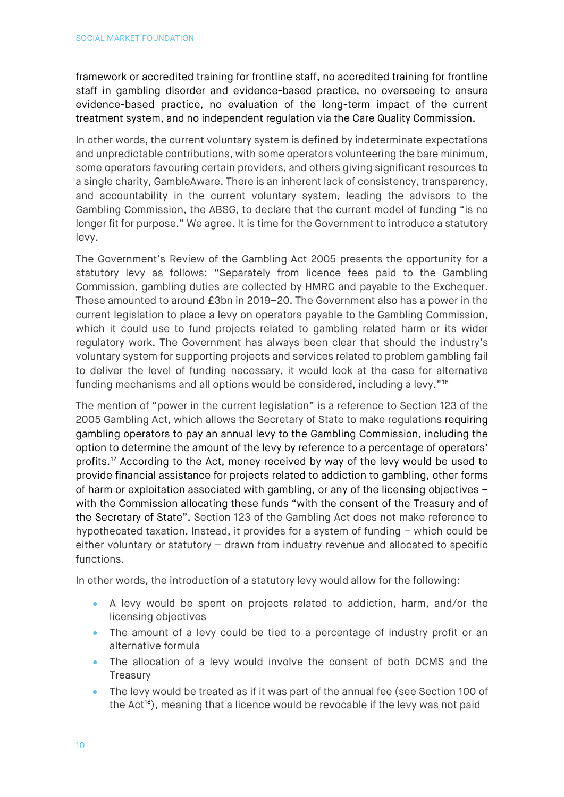framework or accredited training for frontline staff, no accredited training for frontline staff in gambling disorder and evidence-based practice, no overseeing to ensure evidence-based practice, no evaluation of the long-term impact of the current treatment system, and no independent regulation via the Care Quality Commission.

In other words, the current voluntary system is defined by indeterminate expectations and unpredictable contributions, with some operators volunteering the bare minimum, some operators favouring certain providers, and others giving significant resources to a single charity, GambleAware. There is an inherent lack of consistency, transparency, and accountability in the current voluntary system, leading the advisors to the Gambling Commission, the ABSG, to declare that the current model of funding "is no longer fit for purpose." We agree. It is time for the Government to introduce a statutory levy.

The Government's Review of the Gambling Act 2005 presents the opportunity for a statutory levy as follows: "Separately from licence fees paid to the Gambling Commission, gambling duties are collected by HMRC and payable to the Exchequer. These amounted to around £3bn in 2019–20. The Government also has a power in the current legislation to place a levy on operators payable to the Gambling Commission, which it could use to fund projects related to gambling related harm or its wider regulatory work. The Government has always been clear that should the industry's voluntary system for supporting projects and services related to problem gambling fail to deliver the level of funding necessary, it would look at the case for alternative funding mechanisms and all options would be considered, including a levy."[16](#page-27-16)

The mention of "power in the current legislation" is a reference to Section 123 of the 2005 Gambling Act, which allows the Secretary of State to make regulations requiring gambling operators to pay an annual levy to the Gambling Commission, including the option to determine the amount of the levy by reference to a percentage of operators' profits.<sup>[17](#page-27-17)</sup> According to the Act, money received by way of the levy would be used to provide financial assistance for projects related to addiction to gambling, other forms of harm or exploitation associated with gambling, or any of the licensing objectives – with the Commission allocating these funds "with the consent of the Treasury and of the Secretary of State". Section 123 of the Gambling Act does not make reference to hypothecated taxation. Instead, it provides for a system of funding – which could be either voluntary or statutory – drawn from industry revenue and allocated to specific functions.

In other words, the introduction of a statutory levy would allow for the following:

- A levy would be spent on projects related to addiction, harm, and/or the licensing objectives
- The amount of a levy could be tied to a percentage of industry profit or an alternative formula
- The allocation of a levy would involve the consent of both DCMS and the **Treasury**
- The levy would be treated as if it was part of the annual fee (see Section 100 of the  $Act^{18}$  $Act^{18}$  $Act^{18}$ , meaning that a licence would be revocable if the levy was not paid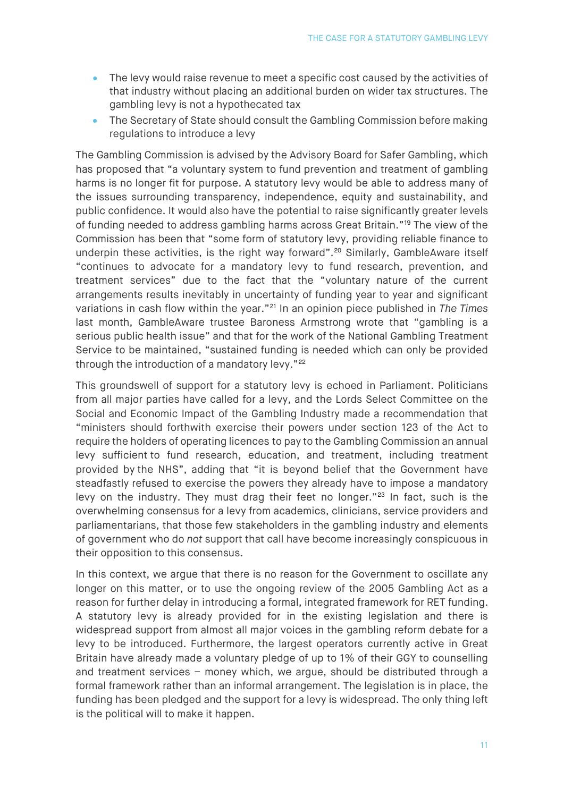- The levy would raise revenue to meet a specific cost caused by the activities of that industry without placing an additional burden on wider tax structures. The gambling levy is not a hypothecated tax
- The Secretary of State should consult the Gambling Commission before making regulations to introduce a levy

The Gambling Commission is advised by the Advisory Board for Safer Gambling, which has proposed that "a voluntary system to fund prevention and treatment of gambling harms is no longer fit for purpose. A statutory levy would be able to address many of the issues surrounding transparency, independence, equity and sustainability, and public confidence. It would also have the potential to raise significantly greater levels of funding needed to address gambling harms across Great Britain."[19](#page-27-19) The view of the Commission has been that "some form of statutory levy, providing reliable finance to underpin these activities, is the right way forward".<sup>[20](#page-27-20)</sup> Similarly, GambleAware itself "continues to advocate for a mandatory levy to fund research, prevention, and treatment services" due to the fact that the "voluntary nature of the current arrangements results inevitably in uncertainty of funding year to year and significant variations in cash flow within the year."[21](#page-28-0) In an opinion piece published in *The Times* last month, GambleAware trustee Baroness Armstrong wrote that "gambling is a serious public health issue" and that for the work of the National Gambling Treatment Service to be maintained, "sustained funding is needed which can only be provided through the introduction of a mandatory levy."<sup>[22](#page-28-1)</sup>

This groundswell of support for a statutory levy is echoed in Parliament. Politicians from all major parties have called for a levy, and the Lords Select Committee on the Social and Economic Impact of the Gambling Industry made a recommendation that "ministers should forthwith exercise their powers under section 123 of the Act to require the holders of operating licences to pay to the Gambling Commission an annual levy sufficient to fund research, education, and treatment, including treatment provided by the NHS", adding that "it is beyond belief that the Government have steadfastly refused to exercise the powers they already have to impose a mandatory levy on the industry. They must drag their feet no longer."<sup>[23](#page-28-2)</sup> In fact, such is the overwhelming consensus for a levy from academics, clinicians, service providers and parliamentarians, that those few stakeholders in the gambling industry and elements of government who do *not* support that call have become increasingly conspicuous in their opposition to this consensus.

In this context, we argue that there is no reason for the Government to oscillate any longer on this matter, or to use the ongoing review of the 2005 Gambling Act as a reason for further delay in introducing a formal, integrated framework for RET funding. A statutory levy is already provided for in the existing legislation and there is widespread support from almost all major voices in the gambling reform debate for a levy to be introduced. Furthermore, the largest operators currently active in Great Britain have already made a voluntary pledge of up to 1% of their GGY to counselling and treatment services – money which, we argue, should be distributed through a formal framework rather than an informal arrangement. The legislation is in place, the funding has been pledged and the support for a levy is widespread. The only thing left is the political will to make it happen.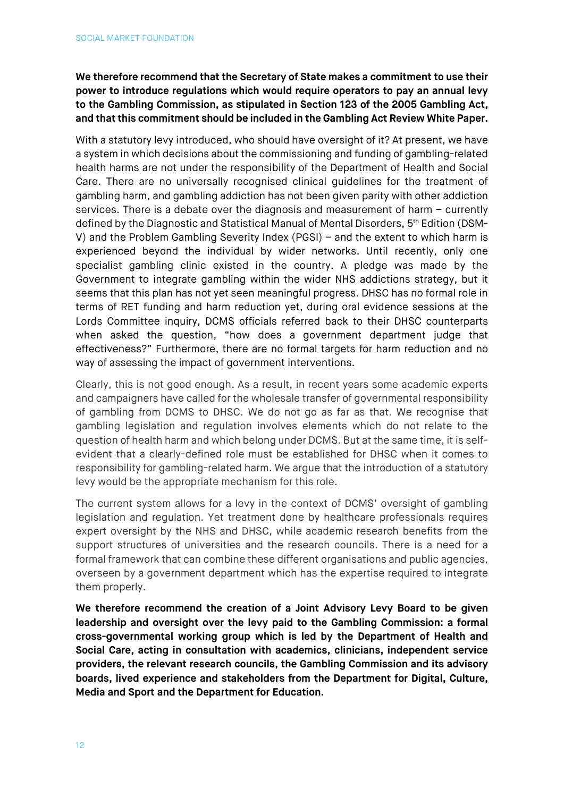**We therefore recommend that the Secretary of State makes a commitment to use their power to introduce regulations which would require operators to pay an annual levy to the Gambling Commission, as stipulated in Section 123 of the 2005 Gambling Act, and that this commitment should be included in the Gambling Act Review White Paper.** 

With a statutory levy introduced, who should have oversight of it? At present, we have a system in which decisions about the commissioning and funding of gambling-related health harms are not under the responsibility of the Department of Health and Social Care. There are no universally recognised clinical guidelines for the treatment of gambling harm, and gambling addiction has not been given parity with other addiction services. There is a debate over the diagnosis and measurement of harm – currently defined by the Diagnostic and Statistical Manual of Mental Disorders, 5th Edition (DSM-V) and the Problem Gambling Severity Index (PGSI) – and the extent to which harm is experienced beyond the individual by wider networks. Until recently, only one specialist gambling clinic existed in the country. A pledge was made by the Government to integrate gambling within the wider NHS addictions strategy, but it seems that this plan has not yet seen meaningful progress. DHSC has no formal role in terms of RET funding and harm reduction yet, during oral evidence sessions at the Lords Committee inquiry, DCMS officials referred back to their DHSC counterparts when asked the question, "how does a government department judge that effectiveness?" Furthermore, there are no formal targets for harm reduction and no way of assessing the impact of government interventions.

Clearly, this is not good enough. As a result, in recent years some academic experts and campaigners have called for the wholesale transfer of governmental responsibility of gambling from DCMS to DHSC. We do not go as far as that. We recognise that gambling legislation and regulation involves elements which do not relate to the question of health harm and which belong under DCMS. But at the same time, it is selfevident that a clearly-defined role must be established for DHSC when it comes to responsibility for gambling-related harm. We argue that the introduction of a statutory levy would be the appropriate mechanism for this role.

The current system allows for a levy in the context of DCMS' oversight of gambling legislation and regulation. Yet treatment done by healthcare professionals requires expert oversight by the NHS and DHSC, while academic research benefits from the support structures of universities and the research councils. There is a need for a formal framework that can combine these different organisations and public agencies, overseen by a government department which has the expertise required to integrate them properly.

**We therefore recommend the creation of a Joint Advisory Levy Board to be given leadership and oversight over the levy paid to the Gambling Commission: a formal cross-governmental working group which is led by the Department of Health and Social Care, acting in consultation with academics, clinicians, independent service providers, the relevant research councils, the Gambling Commission and its advisory boards, lived experience and stakeholders from the Department for Digital, Culture, Media and Sport and the Department for Education.**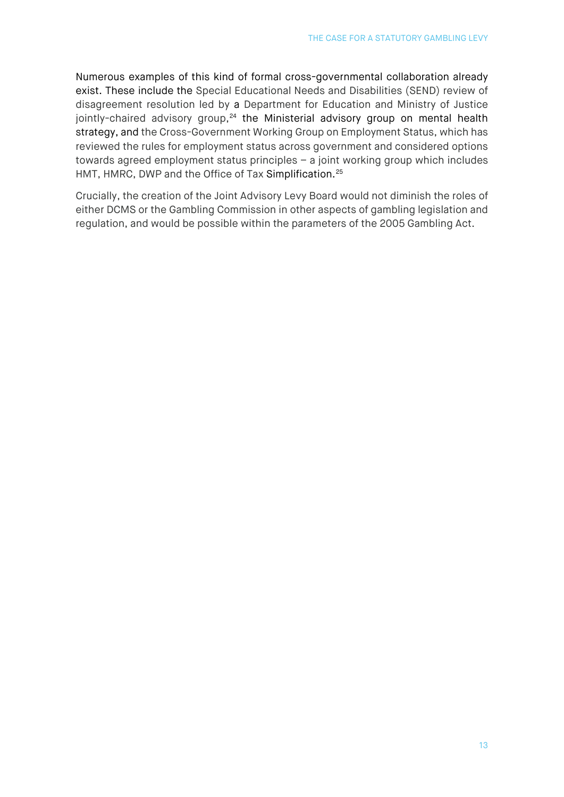Numerous examples of this kind of formal cross-governmental collaboration already exist. These include the Special Educational Needs and Disabilities (SEND) review of disagreement resolution led by a Department for Education and Ministry of Justice jointly-chaired advisory group,<sup>[24](#page-28-3)</sup> the Ministerial advisory group on mental health strategy, and the Cross-Government Working Group on Employment Status, which has reviewed the rules for employment status across government and considered options towards agreed employment status principles – a joint working group which includes HMT, HMRC, DWP and the Office of Tax Simplification.<sup>[25](#page-28-4)</sup>

Crucially, the creation of the Joint Advisory Levy Board would not diminish the roles of either DCMS or the Gambling Commission in other aspects of gambling legislation and regulation, and would be possible within the parameters of the 2005 Gambling Act.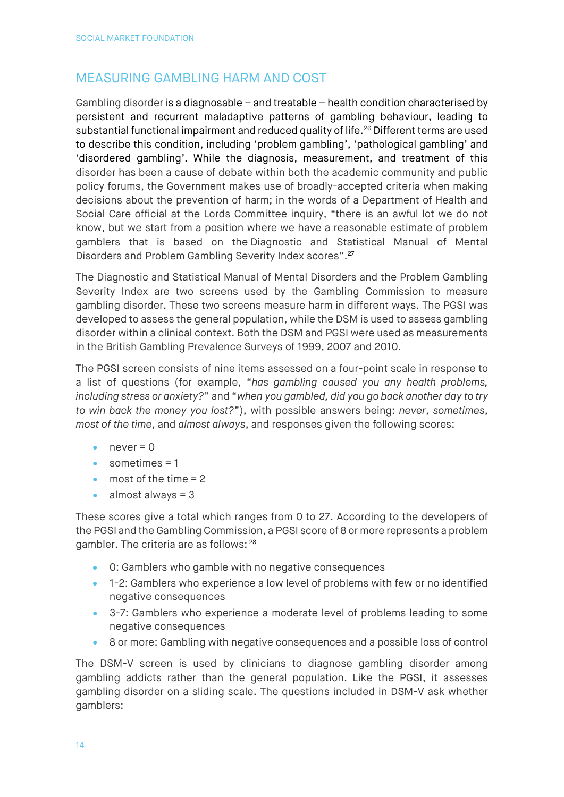# <span id="page-13-0"></span>MEASURING GAMBLING HARM AND COST

Gambling disorder is a diagnosable – and treatable – health condition characterised by persistent and recurrent maladaptive patterns of gambling behaviour, leading to substantial functional impairment and reduced quality of life.<sup>[26](#page-28-5)</sup> Different terms are used to describe this condition, including 'problem gambling', 'pathological gambling' and 'disordered gambling'. While the diagnosis, measurement, and treatment of this disorder has been a cause of debate within both the academic community and public policy forums, the Government makes use of broadly-accepted criteria when making decisions about the prevention of harm; in the words of a Department of Health and Social Care official at the Lords Committee inquiry, "there is an awful lot we do not know, but we start from a position where we have a reasonable estimate of problem gamblers that is based on the Diagnostic and Statistical Manual of Mental Disorders and Problem Gambling Severity Index scores".<sup>[27](#page-28-6)</sup>

The Diagnostic and Statistical Manual of Mental Disorders and the Problem Gambling Severity Index are two screens used by the Gambling Commission to measure gambling disorder. These two screens measure harm in different ways. The PGSI was developed to assess the general population, while the DSM is used to assess gambling disorder within a clinical context. Both the DSM and PGSI were used as measurements in the British Gambling Prevalence Surveys of 1999, 2007 and 2010.

The PGSI screen consists of nine items assessed on a four-point scale in response to a list of questions (for example, "*has gambling caused you any health problems, including stress or anxiety?*" and "*when you gambled, did you go back another day to try to win back the money you lost?*"), with possible answers being: *never*, *sometimes*, *most of the time*, and *almost always*, and responses given the following scores:

- $\bullet$  never = 0
- sometimes = 1
- $\bullet$  most of the time = 2
- almost always = 3

These scores give a total which ranges from 0 to 27. According to the developers of the PGSI and the Gambling Commission, a PGSI score of 8 or more represents a problem gambler. The criteria are as follows: [28](#page-28-7)

- 0: Gamblers who gamble with no negative consequences
- 1-2: Gamblers who experience a low level of problems with few or no identified negative consequences
- 3-7: Gamblers who experience a moderate level of problems leading to some negative consequences
- 8 or more: Gambling with negative consequences and a possible loss of control

The DSM-V screen is used by clinicians to diagnose gambling disorder among gambling addicts rather than the general population. Like the PGSI, it assesses gambling disorder on a sliding scale. The questions included in DSM-V ask whether gamblers: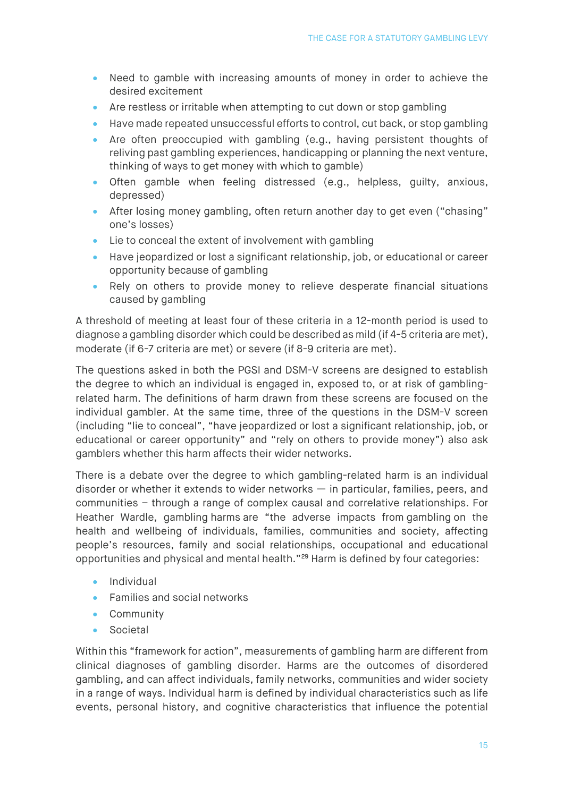- Need to gamble with increasing amounts of money in order to achieve the desired excitement
- Are restless or irritable when attempting to cut down or stop gambling
- Have made repeated unsuccessful efforts to control, cut back, or stop gambling
- Are often preoccupied with gambling (e.g., having persistent thoughts of reliving past gambling experiences, handicapping or planning the next venture, thinking of ways to get money with which to gamble)
- Often gamble when feeling distressed (e.g., helpless, guilty, anxious, depressed)
- After losing money gambling, often return another day to get even ("chasing" one's losses)
- Lie to conceal the extent of involvement with gambling
- Have jeopardized or lost a significant relationship, job, or educational or career opportunity because of gambling
- Rely on others to provide money to relieve desperate financial situations caused by gambling

A threshold of meeting at least four of these criteria in a 12-month period is used to diagnose a gambling disorder which could be described as mild (if 4-5 criteria are met), moderate (if 6-7 criteria are met) or severe (if 8-9 criteria are met).

The questions asked in both the PGSI and DSM-V screens are designed to establish the degree to which an individual is engaged in, exposed to, or at risk of gamblingrelated harm. The definitions of harm drawn from these screens are focused on the individual gambler. At the same time, three of the questions in the DSM-V screen (including "lie to conceal", "have jeopardized or lost a significant relationship, job, or educational or career opportunity" and "rely on others to provide money") also ask gamblers whether this harm affects their wider networks.

There is a debate over the degree to which gambling-related harm is an individual disorder or whether it extends to wider networks — in particular, families, peers, and communities – through a range of complex causal and correlative relationships. For Heather Wardle, gambling harms are "the adverse impacts from gambling on the health and wellbeing of individuals, families, communities and society, affecting people's resources, family and social relationships, occupational and educational opportunities and physical and mental health."[29](#page-28-8) Harm is defined by four categories:

- Individual
- Families and social networks
- Community
- Societal

Within this "framework for action", measurements of gambling harm are different from clinical diagnoses of gambling disorder. Harms are the outcomes of disordered gambling, and can affect individuals, family networks, communities and wider society in a range of ways. Individual harm is defined by individual characteristics such as life events, personal history, and cognitive characteristics that influence the potential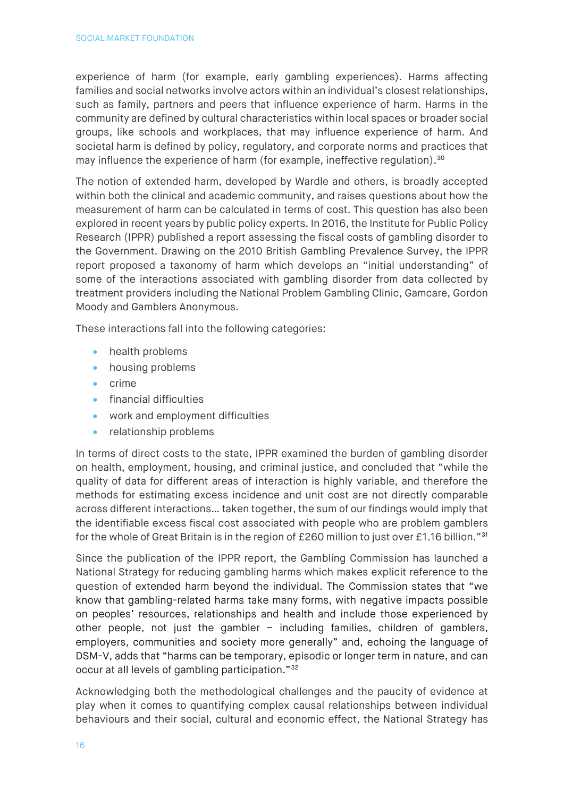experience of harm (for example, early gambling experiences). Harms affecting families and social networks involve actors within an individual's closest relationships, such as family, partners and peers that influence experience of harm. Harms in the community are defined by cultural characteristics within local spaces or broader social groups, like schools and workplaces, that may influence experience of harm. And societal harm is defined by policy, regulatory, and corporate norms and practices that may influence the experience of harm (for example, ineffective regulation).<sup>[30](#page-28-9)</sup>

The notion of extended harm, developed by Wardle and others, is broadly accepted within both the clinical and academic community, and raises questions about how the measurement of harm can be calculated in terms of cost. This question has also been explored in recent years by public policy experts. In 2016, the Institute for Public Policy Research (IPPR) published a report assessing the fiscal costs of gambling disorder to the Government. Drawing on the 2010 British Gambling Prevalence Survey, the IPPR report proposed a taxonomy of harm which develops an "initial understanding" of some of the interactions associated with gambling disorder from data collected by treatment providers including the National Problem Gambling Clinic, Gamcare, Gordon Moody and Gamblers Anonymous.

These interactions fall into the following categories:

- health problems
- housing problems
- crime
- financial difficulties
- work and employment difficulties
- relationship problems

In terms of direct costs to the state, IPPR examined the burden of gambling disorder on health, employment, housing, and criminal justice, and concluded that "while the quality of data for different areas of interaction is highly variable, and therefore the methods for estimating excess incidence and unit cost are not directly comparable across different interactions… taken together, the sum of our findings would imply that the identifiable excess fiscal cost associated with people who are problem gamblers for the whole of Great Britain is in the region of £260 million to just over £1.16 billion."[31](#page-28-10)

Since the publication of the IPPR report, the Gambling Commission has launched a National Strategy for reducing gambling harms which makes explicit reference to the question of extended harm beyond the individual. The Commission states that "we know that gambling-related harms take many forms, with negative impacts possible on peoples' resources, relationships and health and include those experienced by other people, not just the gambler – including families, children of gamblers, employers, communities and society more generally" and, echoing the language of DSM-V, adds that "harms can be temporary, episodic or longer term in nature, and can occur at all levels of gambling participation."[32](#page-28-11)

Acknowledging both the methodological challenges and the paucity of evidence at play when it comes to quantifying complex causal relationships between individual behaviours and their social, cultural and economic effect, the National Strategy has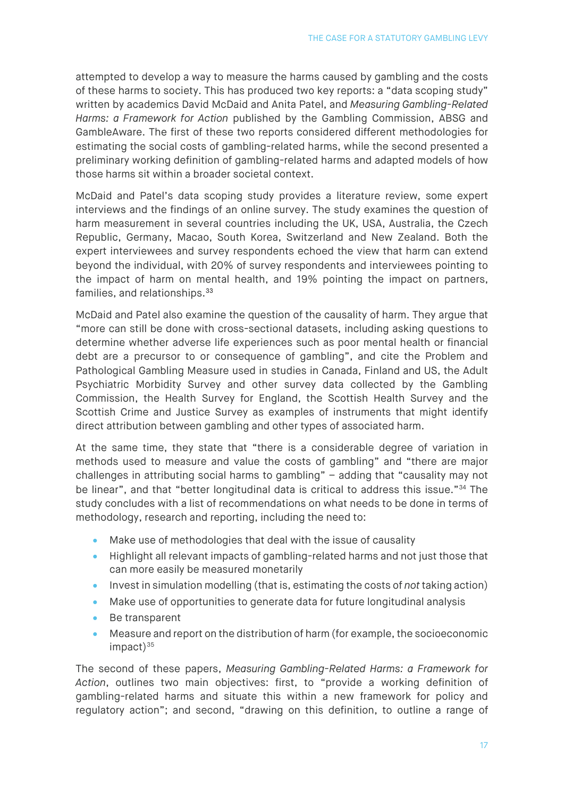attempted to develop a way to measure the harms caused by gambling and the costs of these harms to society. This has produced two key reports: a "data scoping study" written by academics David McDaid and Anita Patel, and *Measuring Gambling-Related Harms: a Framework for Action* published by the Gambling Commission, ABSG and GambleAware. The first of these two reports considered different methodologies for estimating the social costs of gambling-related harms, while the second presented a preliminary working definition of gambling-related harms and adapted models of how those harms sit within a broader societal context.

McDaid and Patel's data scoping study provides a literature review, some expert interviews and the findings of an online survey. The study examines the question of harm measurement in several countries including the UK, USA, Australia, the Czech Republic, Germany, Macao, South Korea, Switzerland and New Zealand. Both the expert interviewees and survey respondents echoed the view that harm can extend beyond the individual, with 20% of survey respondents and interviewees pointing to the impact of harm on mental health, and 19% pointing the impact on partners, families, and relationships.<sup>[33](#page-28-12)</sup>

McDaid and Patel also examine the question of the causality of harm. They argue that "more can still be done with cross-sectional datasets, including asking questions to determine whether adverse life experiences such as poor mental health or financial debt are a precursor to or consequence of gambling", and cite the Problem and Pathological Gambling Measure used in studies in Canada, Finland and US, the Adult Psychiatric Morbidity Survey and other survey data collected by the Gambling Commission, the Health Survey for England, the Scottish Health Survey and the Scottish Crime and Justice Survey as examples of instruments that might identify direct attribution between gambling and other types of associated harm.

At the same time, they state that "there is a considerable degree of variation in methods used to measure and value the costs of gambling" and "there are major challenges in attributing social harms to gambling" – adding that "causality may not be linear", and that "better longitudinal data is critical to address this issue."<sup>[34](#page-28-13)</sup> The study concludes with a list of recommendations on what needs to be done in terms of methodology, research and reporting, including the need to:

- Make use of methodologies that deal with the issue of causality
- Highlight all relevant impacts of gambling-related harms and not just those that can more easily be measured monetarily
- Invest in simulation modelling (that is, estimating the costs of *not* taking action)
- Make use of opportunities to generate data for future longitudinal analysis
- Be transparent
- Measure and report on the distribution of harm (for example, the socioeconomic  $im$ pact) $35$

The second of these papers, *Measuring Gambling-Related Harms: a Framework for Action*, outlines two main objectives: first, to "provide a working definition of gambling-related harms and situate this within a new framework for policy and regulatory action"; and second, "drawing on this definition, to outline a range of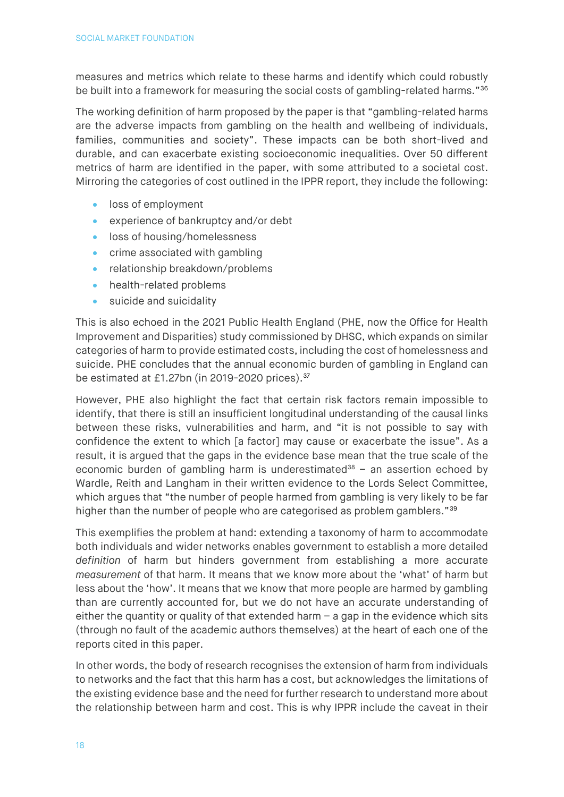measures and metrics which relate to these harms and identify which could robustly be built into a framework for measuring the social costs of gambling-related harms.["36](#page-28-15)

The working definition of harm proposed by the paper is that "gambling-related harms are the adverse impacts from gambling on the health and wellbeing of individuals, families, communities and society". These impacts can be both short-lived and durable, and can exacerbate existing socioeconomic inequalities. Over 50 different metrics of harm are identified in the paper, with some attributed to a societal cost. Mirroring the categories of cost outlined in the IPPR report, they include the following:

- loss of employment
- experience of bankruptcy and/or debt
- loss of housing/homelessness
- crime associated with gambling
- relationship breakdown/problems
- health-related problems
- suicide and suicidality

This is also echoed in the 2021 Public Health England (PHE, now the Office for Health Improvement and Disparities) study commissioned by DHSC, which expands on similar categories of harm to provide estimated costs, including the cost of homelessness and suicide. PHE concludes that the annual economic burden of gambling in England can be estimated at £1.27bn (in 2019-2020 prices). [37](#page-28-16)

However, PHE also highlight the fact that certain risk factors remain impossible to identify, that there is still an insufficient longitudinal understanding of the causal links between these risks, vulnerabilities and harm, and "it is not possible to say with confidence the extent to which [a factor] may cause or exacerbate the issue". As a result, it is argued that the gaps in the evidence base mean that the true scale of the economic burden of gambling harm is underestimated<sup>[38](#page-28-17)</sup> – an assertion echoed by Wardle, Reith and Langham in their written evidence to the Lords Select Committee, which argues that "the number of people harmed from gambling is very likely to be far higher than the number of people who are categorised as problem gamblers."<sup>[39](#page-28-18)</sup>

This exemplifies the problem at hand: extending a taxonomy of harm to accommodate both individuals and wider networks enables government to establish a more detailed *definition* of harm but hinders government from establishing a more accurate *measurement* of that harm. It means that we know more about the 'what' of harm but less about the 'how'. It means that we know that more people are harmed by gambling than are currently accounted for, but we do not have an accurate understanding of either the quantity or quality of that extended harm  $-$  a gap in the evidence which sits (through no fault of the academic authors themselves) at the heart of each one of the reports cited in this paper.

In other words, the body of research recognises the extension of harm from individuals to networks and the fact that this harm has a cost, but acknowledges the limitations of the existing evidence base and the need for further research to understand more about the relationship between harm and cost. This is why IPPR include the caveat in their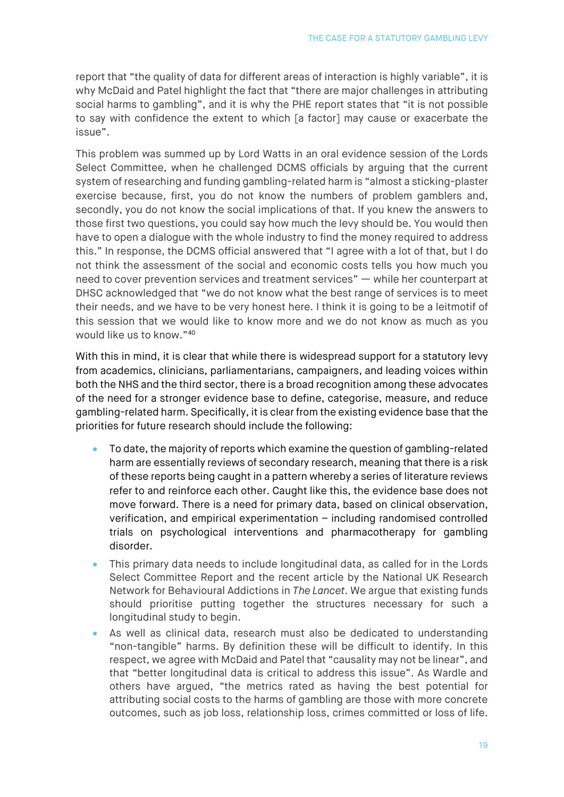report that "the quality of data for different areas of interaction is highly variable", it is why McDaid and Patel highlight the fact that "there are major challenges in attributing social harms to gambling", and it is why the PHE report states that "it is not possible to say with confidence the extent to which [a factor] may cause or exacerbate the issue".

This problem was summed up by Lord Watts in an oral evidence session of the Lords Select Committee, when he challenged DCMS officials by arguing that the current system of researching and funding gambling-related harm is "almost a sticking-plaster exercise because, first, you do not know the numbers of problem gamblers and, secondly, you do not know the social implications of that. If you knew the answers to those first two questions, you could say how much the levy should be. You would then have to open a dialogue with the whole industry to find the money required to address this." In response, the DCMS official answered that "I agree with a lot of that, but I do not think the assessment of the social and economic costs tells you how much you need to cover prevention services and treatment services" — while her counterpart at DHSC acknowledged that "we do not know what the best range of services is to meet their needs, and we have to be very honest here. I think it is going to be a leitmotif of this session that we would like to know more and we do not know as much as you would like us to know."[40](#page-28-19)

With this in mind, it is clear that while there is widespread support for a statutory levy from academics, clinicians, parliamentarians, campaigners, and leading voices within both the NHS and the third sector, there is a broad recognition among these advocates of the need for a stronger evidence base to define, categorise, measure, and reduce gambling-related harm. Specifically, it is clear from the existing evidence base that the priorities for future research should include the following:

- To date, the majority of reports which examine the question of gambling-related harm are essentially reviews of secondary research, meaning that there is a risk of these reports being caught in a pattern whereby a series of literature reviews refer to and reinforce each other. Caught like this, the evidence base does not move forward. There is a need for primary data, based on clinical observation, verification, and empirical experimentation – including randomised controlled trials on psychological interventions and pharmacotherapy for gambling disorder.
- This primary data needs to include longitudinal data, as called for in the Lords Select Committee Report and the recent article by the National UK Research Network for Behavioural Addictions in *The Lancet*. We argue that existing funds should prioritise putting together the structures necessary for such a longitudinal study to begin.
- As well as clinical data, research must also be dedicated to understanding "non-tangible" harms. By definition these will be difficult to identify. In this respect, we agree with McDaid and Patel that "causality may not be linear", and that "better longitudinal data is critical to address this issue". As Wardle and others have argued, "the metrics rated as having the best potential for attributing social costs to the harms of gambling are those with more concrete outcomes, such as job loss, relationship loss, crimes committed or loss of life.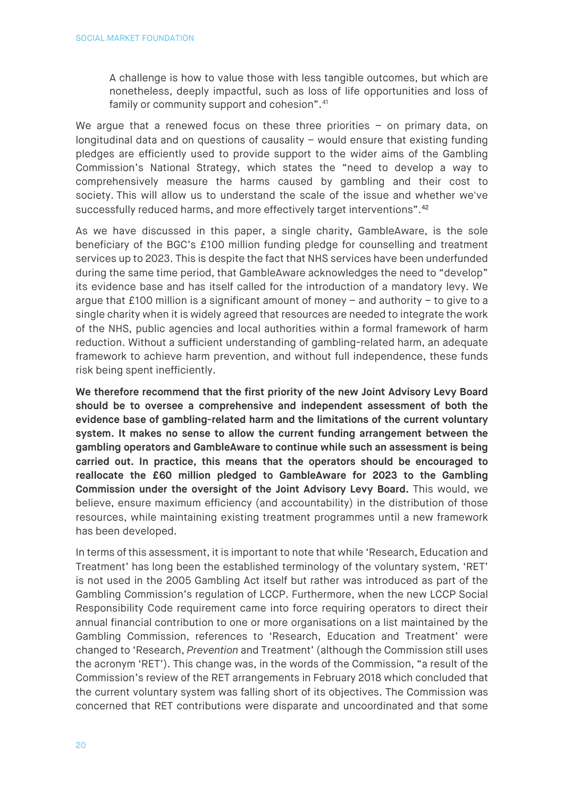A challenge is how to value those with less tangible outcomes, but which are nonetheless, deeply impactful, such as loss of life opportunities and loss of family or community support and cohesion".<sup>[41](#page-29-0)</sup>

We argue that a renewed focus on these three priorities - on primary data, on longitudinal data and on questions of causality – would ensure that existing funding pledges are efficiently used to provide support to the wider aims of the Gambling Commission's National Strategy, which states the "need to develop a way to comprehensively measure the harms caused by gambling and their cost to society. This will allow us to understand the scale of the issue and whether we've successfully reduced harms, and more effectively target interventions".<sup>[42](#page-29-1)</sup>

As we have discussed in this paper, a single charity, GambleAware, is the sole beneficiary of the BGC's £100 million funding pledge for counselling and treatment services up to 2023. This is despite the fact that NHS services have been underfunded during the same time period, that GambleAware acknowledges the need to "develop" its evidence base and has itself called for the introduction of a mandatory levy. We argue that £100 million is a significant amount of money – and authority – to give to a single charity when it is widely agreed that resources are needed to integrate the work of the NHS, public agencies and local authorities within a formal framework of harm reduction. Without a sufficient understanding of gambling-related harm, an adequate framework to achieve harm prevention, and without full independence, these funds risk being spent inefficiently.

**We therefore recommend that the first priority of the new Joint Advisory Levy Board should be to oversee a comprehensive and independent assessment of both the evidence base of gambling-related harm and the limitations of the current voluntary system. It makes no sense to allow the current funding arrangement between the gambling operators and GambleAware to continue while such an assessment is being carried out. In practice, this means that the operators should be encouraged to reallocate the £60 million pledged to GambleAware for 2023 to the Gambling Commission under the oversight of the Joint Advisory Levy Board.** This would, we believe, ensure maximum efficiency (and accountability) in the distribution of those resources, while maintaining existing treatment programmes until a new framework has been developed.

In terms of this assessment, it is important to note that while 'Research, Education and Treatment' has long been the established terminology of the voluntary system, 'RET' is not used in the 2005 Gambling Act itself but rather was introduced as part of the Gambling Commission's regulation of LCCP. Furthermore, when the new LCCP Social Responsibility Code requirement came into force requiring operators to direct their annual financial contribution to one or more organisations on a list maintained by the Gambling Commission, references to 'Research, Education and Treatment' were changed to 'Research, *Prevention* and Treatment' (although the Commission still uses the acronym 'RET'). This change was, in the words of the Commission, "a result of the Commission's review of the RET arrangements in February 2018 which concluded that the current voluntary system was falling short of its objectives. The Commission was concerned that RET contributions were disparate and uncoordinated and that some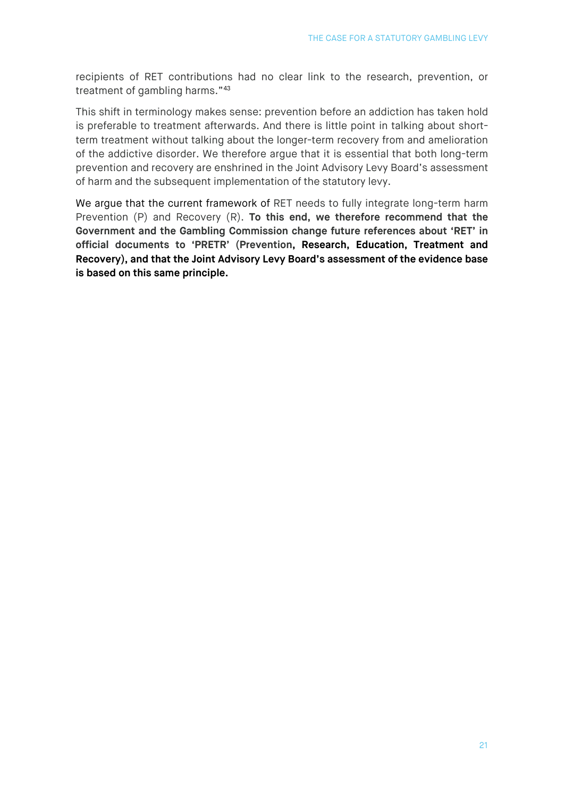recipients of RET contributions had no clear link to the research, prevention, or treatment of gambling harms."[43](#page-29-2)

This shift in terminology makes sense: prevention before an addiction has taken hold is preferable to treatment afterwards. And there is little point in talking about shortterm treatment without talking about the longer-term recovery from and amelioration of the addictive disorder. We therefore argue that it is essential that both long-term prevention and recovery are enshrined in the Joint Advisory Levy Board's assessment of harm and the subsequent implementation of the statutory levy.

<span id="page-20-0"></span>We argue that the current framework of RET needs to fully integrate long-term harm Prevention (P) and Recovery (R). **To this end, we therefore recommend that the Government and the Gambling Commission change future references about 'RET' in official documents to 'PRETR' (Prevention, Research, Education, Treatment and Recovery), and that the Joint Advisory Levy Board's assessment of the evidence base is based on this same principle.**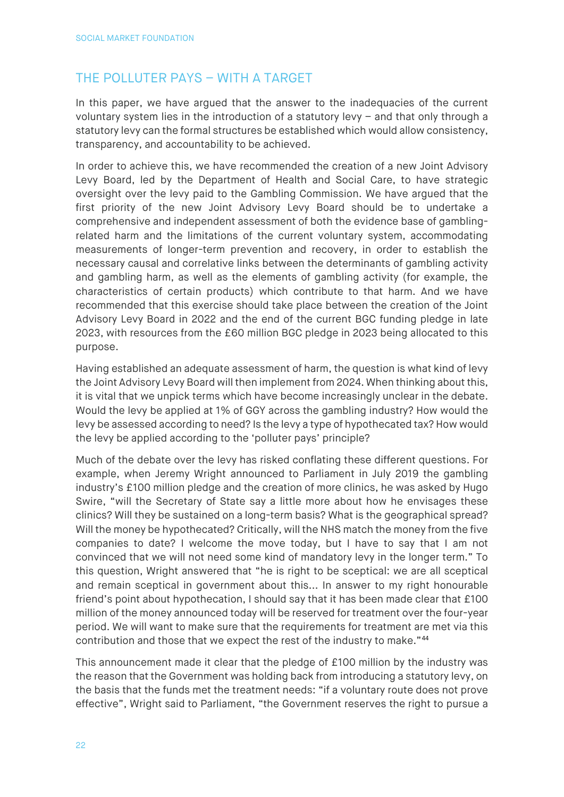# THE POLLUTER PAYS – WITH A TARGET

In this paper, we have argued that the answer to the inadequacies of the current voluntary system lies in the introduction of a statutory levy – and that only through a statutory levy can the formal structures be established which would allow consistency, transparency, and accountability to be achieved.

In order to achieve this, we have recommended the creation of a new Joint Advisory Levy Board, led by the Department of Health and Social Care, to have strategic oversight over the levy paid to the Gambling Commission. We have argued that the first priority of the new Joint Advisory Levy Board should be to undertake a comprehensive and independent assessment of both the evidence base of gamblingrelated harm and the limitations of the current voluntary system, accommodating measurements of longer-term prevention and recovery, in order to establish the necessary causal and correlative links between the determinants of gambling activity and gambling harm, as well as the elements of gambling activity (for example, the characteristics of certain products) which contribute to that harm. And we have recommended that this exercise should take place between the creation of the Joint Advisory Levy Board in 2022 and the end of the current BGC funding pledge in late 2023, with resources from the £60 million BGC pledge in 2023 being allocated to this purpose.

Having established an adequate assessment of harm, the question is what kind of levy the Joint Advisory Levy Board will then implement from 2024. When thinking about this, it is vital that we unpick terms which have become increasingly unclear in the debate. Would the levy be applied at 1% of GGY across the gambling industry? How would the levy be assessed according to need? Is the levy a type of hypothecated tax? How would the levy be applied according to the 'polluter pays' principle?

Much of the debate over the levy has risked conflating these different questions. For example, when Jeremy Wright announced to Parliament in July 2019 the gambling industry's £100 million pledge and the creation of more clinics, he was asked by Hugo Swire, "will the Secretary of State say a little more about how he envisages these clinics? Will they be sustained on a long-term basis? What is the geographical spread? Will the money be hypothecated? Critically, will the NHS match the money from the five companies to date? I welcome the move today, but I have to say that I am not convinced that we will not need some kind of mandatory levy in the longer term." To this question, Wright answered that "he is right to be sceptical: we are all sceptical and remain sceptical in government about this... In answer to my right honourable friend's point about hypothecation, I should say that it has been made clear that £100 million of the money announced today will be reserved for treatment over the four-year period. We will want to make sure that the requirements for treatment are met via this contribution and those that we expect the rest of the industry to make."[44](#page-29-3)

This announcement made it clear that the pledge of £100 million by the industry was the reason that the Government was holding back from introducing a statutory levy, on the basis that the funds met the treatment needs: "if a voluntary route does not prove effective", Wright said to Parliament, "the Government reserves the right to pursue a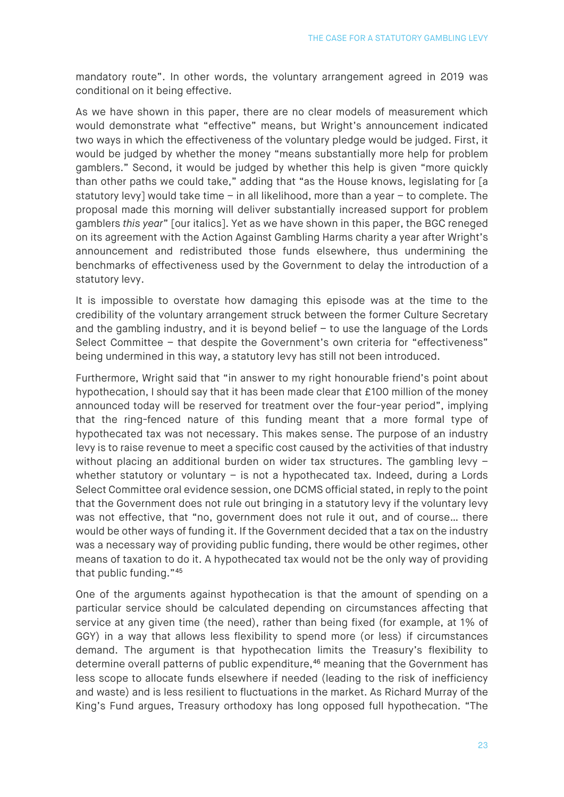mandatory route". In other words, the voluntary arrangement agreed in 2019 was conditional on it being effective.

As we have shown in this paper, there are no clear models of measurement which would demonstrate what "effective" means, but Wright's announcement indicated two ways in which the effectiveness of the voluntary pledge would be judged. First, it would be judged by whether the money "means substantially more help for problem gamblers." Second, it would be judged by whether this help is given "more quickly than other paths we could take," adding that "as the House knows, legislating for [a statutory levy] would take time – in all likelihood, more than a year – to complete. The proposal made this morning will deliver substantially increased support for problem gamblers *this year*" [our italics]. Yet as we have shown in this paper, the BGC reneged on its agreement with the Action Against Gambling Harms charity a year after Wright's announcement and redistributed those funds elsewhere, thus undermining the benchmarks of effectiveness used by the Government to delay the introduction of a statutory levy.

It is impossible to overstate how damaging this episode was at the time to the credibility of the voluntary arrangement struck between the former Culture Secretary and the gambling industry, and it is beyond belief – to use the language of the Lords Select Committee – that despite the Government's own criteria for "effectiveness" being undermined in this way, a statutory levy has still not been introduced.

Furthermore, Wright said that "in answer to my right honourable friend's point about hypothecation, I should say that it has been made clear that £100 million of the money announced today will be reserved for treatment over the four-year period", implying that the ring-fenced nature of this funding meant that a more formal type of hypothecated tax was not necessary. This makes sense. The purpose of an industry levy is to raise revenue to meet a specific cost caused by the activities of that industry without placing an additional burden on wider tax structures. The gambling levy whether statutory or voluntary - is not a hypothecated tax. Indeed, during a Lords Select Committee oral evidence session, one DCMS official stated, in reply to the point that the Government does not rule out bringing in a statutory levy if the voluntary levy was not effective, that "no, government does not rule it out, and of course… there would be other ways of funding it. If the Government decided that a tax on the industry was a necessary way of providing public funding, there would be other regimes, other means of taxation to do it. A hypothecated tax would not be the only way of providing that public funding."[45](#page-29-4)

One of the arguments against hypothecation is that the amount of spending on a particular service should be calculated depending on circumstances affecting that service at any given time (the need), rather than being fixed (for example, at 1% of GGY) in a way that allows less flexibility to spend more (or less) if circumstances demand. The argument is that hypothecation limits the Treasury's flexibility to determine overall patterns of public expenditure,<sup>[46](#page-29-5)</sup> meaning that the Government has less scope to allocate funds elsewhere if needed (leading to the risk of inefficiency and waste) and is less resilient to fluctuations in the market. As Richard Murray of the King's Fund argues, Treasury orthodoxy has long opposed full hypothecation. "The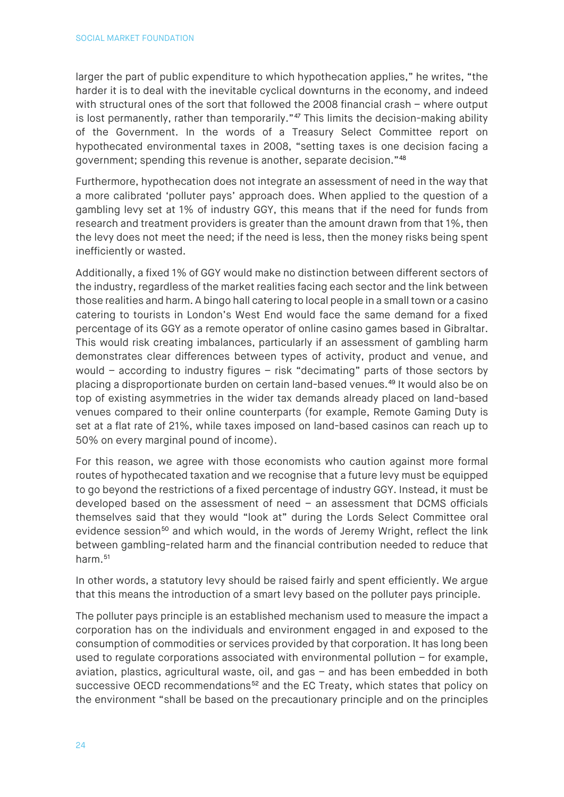larger the part of public expenditure to which hypothecation applies," he writes, "the harder it is to deal with the inevitable cyclical downturns in the economy, and indeed with structural ones of the sort that followed the 2008 financial crash – where output is lost permanently, rather than temporarily."[47](#page-29-6) This limits the decision-making ability of the Government. In the words of a Treasury Select Committee report on hypothecated environmental taxes in 2008, "setting taxes is one decision facing a government; spending this revenue is another, separate decision."[48](#page-29-7)

Furthermore, hypothecation does not integrate an assessment of need in the way that a more calibrated 'polluter pays' approach does. When applied to the question of a gambling levy set at 1% of industry GGY, this means that if the need for funds from research and treatment providers is greater than the amount drawn from that 1%, then the levy does not meet the need; if the need is less, then the money risks being spent inefficiently or wasted.

Additionally, a fixed 1% of GGY would make no distinction between different sectors of the industry, regardless of the market realities facing each sector and the link between those realities and harm. A bingo hall catering to local people in a small town or a casino catering to tourists in London's West End would face the same demand for a fixed percentage of its GGY as a remote operator of online casino games based in Gibraltar. This would risk creating imbalances, particularly if an assessment of gambling harm demonstrates clear differences between types of activity, product and venue, and would – according to industry figures – risk "decimating" parts of those sectors by placing a disproportionate burden on certain land-based venues.[49](#page-29-8) It would also be on top of existing asymmetries in the wider tax demands already placed on land-based venues compared to their online counterparts (for example, Remote Gaming Duty is set at a flat rate of 21%, while taxes imposed on land-based casinos can reach up to 50% on every marginal pound of income).

For this reason, we agree with those economists who caution against more formal routes of hypothecated taxation and we recognise that a future levy must be equipped to go beyond the restrictions of a fixed percentage of industry GGY. Instead, it must be developed based on the assessment of need – an assessment that DCMS officials themselves said that they would "look at" during the Lords Select Committee oral evidence session<sup>50</sup> and which would, in the words of Jeremy Wright, reflect the link between gambling-related harm and the financial contribution needed to reduce that harm.<sup>[51](#page-29-10)</sup>

In other words, a statutory levy should be raised fairly and spent efficiently. We argue that this means the introduction of a smart levy based on the polluter pays principle.

The polluter pays principle is an established mechanism used to measure the impact a corporation has on the individuals and environment engaged in and exposed to the consumption of commodities or services provided by that corporation. It has long been used to regulate corporations associated with environmental pollution – for example, aviation, plastics, agricultural waste, oil, and gas – and has been embedded in both successive OECD recommendations<sup>[52](#page-29-11)</sup> and the EC Treaty, which states that policy on the environment "shall be based on the precautionary principle and on the principles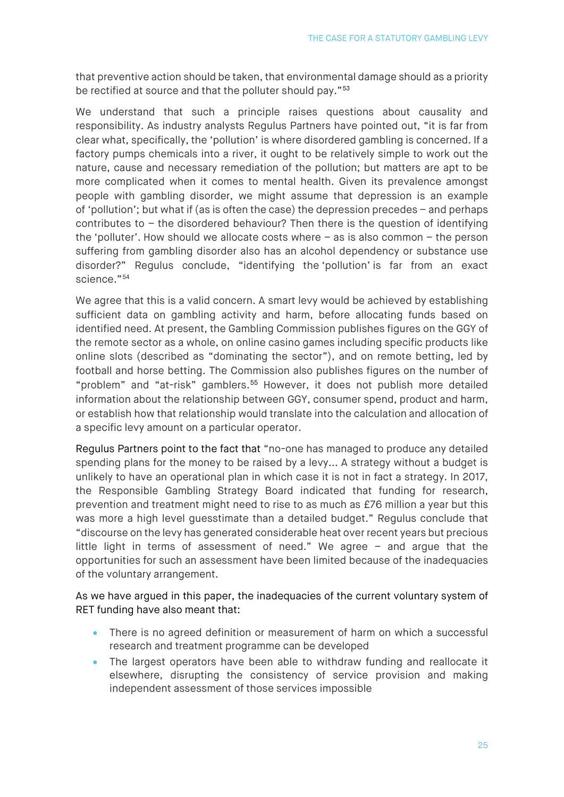that preventive action should be taken, that environmental damage should as a priority be rectified at source and that the polluter should pay."<sup>[53](#page-29-12)</sup>

We understand that such a principle raises questions about causality and responsibility. As industry analysts Regulus Partners have pointed out, "it is far from clear what, specifically, the 'pollution' is where disordered gambling is concerned. If a factory pumps chemicals into a river, it ought to be relatively simple to work out the nature, cause and necessary remediation of the pollution; but matters are apt to be more complicated when it comes to mental health. Given its prevalence amongst people with gambling disorder, we might assume that depression is an example of 'pollution'; but what if (as is often the case) the depression precedes – and perhaps contributes to – the disordered behaviour? Then there is the question of identifying the 'polluter'. How should we allocate costs where – as is also common – the person suffering from gambling disorder also has an alcohol dependency or substance use disorder?" Regulus conclude, "identifying the 'pollution' is far from an exact science."[54](#page-29-13)

We agree that this is a valid concern. A smart levy would be achieved by establishing sufficient data on gambling activity and harm, before allocating funds based on identified need. At present, the Gambling Commission publishes figures on the GGY of the remote sector as a whole, on online casino games including specific products like online slots (described as "dominating the sector"), and on remote betting, led by football and horse betting. The Commission also publishes figures on the number of "problem" and "at-risk" gamblers.<sup>[55](#page-29-14)</sup> However, it does not publish more detailed information about the relationship between GGY, consumer spend, product and harm, or establish how that relationship would translate into the calculation and allocation of a specific levy amount on a particular operator.

Regulus Partners point to the fact that "no-one has managed to produce any detailed spending plans for the money to be raised by a levy... A strategy without a budget is unlikely to have an operational plan in which case it is not in fact a strategy. In 2017, the Responsible Gambling Strategy Board indicated that funding for research, prevention and treatment might need to rise to as much as £76 million a year but this was more a high level guesstimate than a detailed budget." Regulus conclude that "discourse on the levy has generated considerable heat over recent years but precious little light in terms of assessment of need." We agree – and argue that the opportunities for such an assessment have been limited because of the inadequacies of the voluntary arrangement.

As we have argued in this paper, the inadequacies of the current voluntary system of RET funding have also meant that:

- There is no agreed definition or measurement of harm on which a successful research and treatment programme can be developed
- The largest operators have been able to withdraw funding and reallocate it elsewhere, disrupting the consistency of service provision and making independent assessment of those services impossible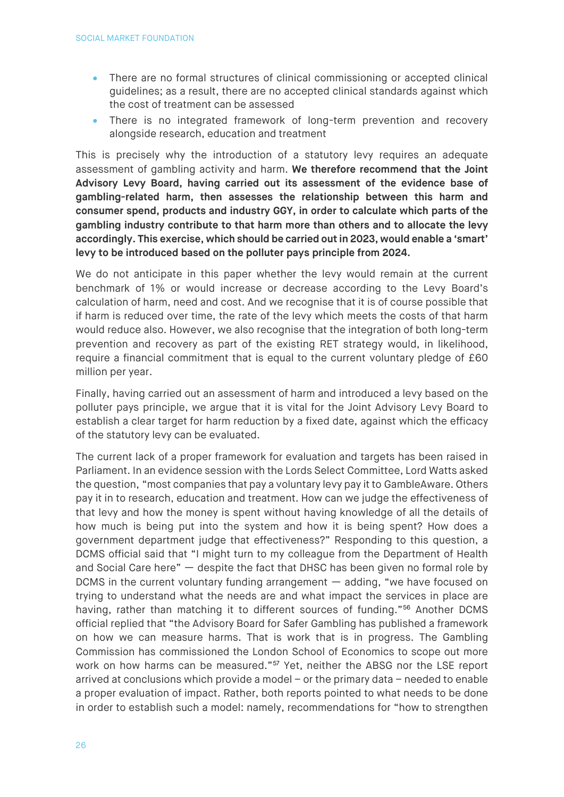- There are no formal structures of clinical commissioning or accepted clinical guidelines; as a result, there are no accepted clinical standards against which the cost of treatment can be assessed
- There is no integrated framework of long-term prevention and recovery alongside research, education and treatment

This is precisely why the introduction of a statutory levy requires an adequate assessment of gambling activity and harm. **We therefore recommend that the Joint Advisory Levy Board, having carried out its assessment of the evidence base of gambling-related harm, then assesses the relationship between this harm and consumer spend, products and industry GGY, in order to calculate which parts of the gambling industry contribute to that harm more than others and to allocate the levy accordingly. This exercise, which should be carried out in 2023, would enable a 'smart' levy to be introduced based on the polluter pays principle from 2024.**

We do not anticipate in this paper whether the levy would remain at the current benchmark of 1% or would increase or decrease according to the Levy Board's calculation of harm, need and cost. And we recognise that it is of course possible that if harm is reduced over time, the rate of the levy which meets the costs of that harm would reduce also. However, we also recognise that the integration of both long-term prevention and recovery as part of the existing RET strategy would, in likelihood, require a financial commitment that is equal to the current voluntary pledge of £60 million per year.

Finally, having carried out an assessment of harm and introduced a levy based on the polluter pays principle, we argue that it is vital for the Joint Advisory Levy Board to establish a clear target for harm reduction by a fixed date, against which the efficacy of the statutory levy can be evaluated.

The current lack of a proper framework for evaluation and targets has been raised in Parliament. In an evidence session with the Lords Select Committee, Lord Watts asked the question, "most companies that pay a voluntary levy pay it to GambleAware. Others pay it in to research, education and treatment. How can we judge the effectiveness of that levy and how the money is spent without having knowledge of all the details of how much is being put into the system and how it is being spent? How does a government department judge that effectiveness?" Responding to this question, a DCMS official said that "I might turn to my colleague from the Department of Health and Social Care here" — despite the fact that DHSC has been given no formal role by DCMS in the current voluntary funding arrangement — adding, "we have focused on trying to understand what the needs are and what impact the services in place are having, rather than matching it to different sources of funding."<sup>[56](#page-29-15)</sup> Another DCMS official replied that "the Advisory Board for Safer Gambling has published a framework on how we can measure harms. That is work that is in progress. The Gambling Commission has commissioned the London School of Economics to scope out more work on how harms can be measured."<sup>[57](#page-29-16)</sup> Yet, neither the ABSG nor the LSE report arrived at conclusions which provide a model – or the primary data – needed to enable a proper evaluation of impact. Rather, both reports pointed to what needs to be done in order to establish such a model: namely, recommendations for "how to strengthen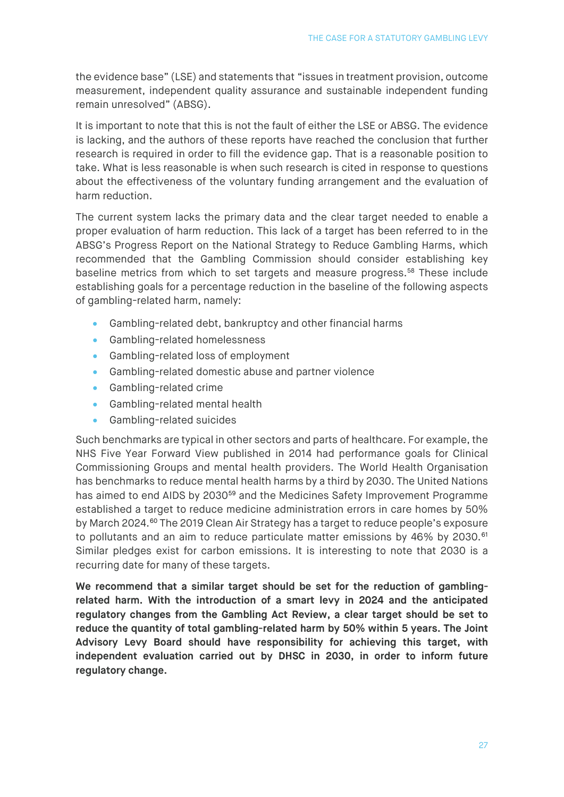the evidence base" (LSE) and statements that "issues in treatment provision, outcome measurement, independent quality assurance and sustainable independent funding remain unresolved" (ABSG).

It is important to note that this is not the fault of either the LSE or ABSG. The evidence is lacking, and the authors of these reports have reached the conclusion that further research is required in order to fill the evidence gap. That is a reasonable position to take. What is less reasonable is when such research is cited in response to questions about the effectiveness of the voluntary funding arrangement and the evaluation of harm reduction.

The current system lacks the primary data and the clear target needed to enable a proper evaluation of harm reduction. This lack of a target has been referred to in the ABSG's Progress Report on the National Strategy to Reduce Gambling Harms, which recommended that the Gambling Commission should consider establishing key baseline metrics from which to set targets and measure progress.[58](#page-29-17) These include establishing goals for a percentage reduction in the baseline of the following aspects of gambling-related harm, namely:

- Gambling-related debt, bankruptcy and other financial harms
- Gambling-related homelessness
- Gambling-related loss of employment
- Gambling-related domestic abuse and partner violence
- Gambling-related crime
- Gambling-related mental health
- Gambling-related suicides

Such benchmarks are typical in other sectors and parts of healthcare. For example, the NHS Five Year Forward View published in 2014 had performance goals for Clinical Commissioning Groups and mental health providers. The World Health Organisation has benchmarks to reduce mental health harms by a third by 2030. The United Nations has aimed to end AIDS by 2030<sup>[59](#page-29-18)</sup> and the Medicines Safety Improvement Programme established a target to reduce medicine administration errors in care homes by 50% by March 2024.<sup>[60](#page-29-19)</sup> The 2019 Clean Air Strategy has a target to reduce people's exposure to pollutants and an aim to reduce particulate matter emissions by 46% by 2030.<sup>[61](#page-29-20)</sup> Similar pledges exist for carbon emissions. It is interesting to note that 2030 is a recurring date for many of these targets.

**We recommend that a similar target should be set for the reduction of gamblingrelated harm. With the introduction of a smart levy in 2024 and the anticipated regulatory changes from the Gambling Act Review, a clear target should be set to reduce the quantity of total gambling-related harm by 50% within 5 years. The Joint Advisory Levy Board should have responsibility for achieving this target, with independent evaluation carried out by DHSC in 2030, in order to inform future regulatory change.**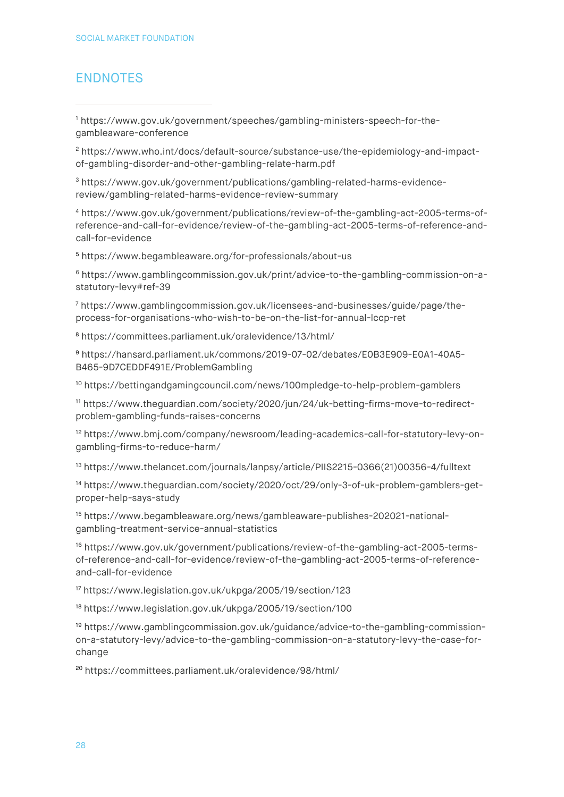# <span id="page-27-0"></span>ENDNOTES

<span id="page-27-1"></span><sup>1</sup> [https://www.gov.uk/government/speeches/gambling-ministers-speech-for-the](https://www.gov.uk/government/speeches/gambling-ministers-speech-for-the-gambleaware-conference)[gambleaware-conference](https://www.gov.uk/government/speeches/gambling-ministers-speech-for-the-gambleaware-conference)

<span id="page-27-2"></span><sup>2</sup> [https://www.who.int/docs/default-source/substance-use/the-epidemiology-and-impact](https://www.who.int/docs/default-source/substance-use/the-epidemiology-and-impact-of-gambling-disorder-and-other-gambling-relate-harm.pdf)[of-gambling-disorder-and-other-gambling-relate-harm.pdf](https://www.who.int/docs/default-source/substance-use/the-epidemiology-and-impact-of-gambling-disorder-and-other-gambling-relate-harm.pdf)

<span id="page-27-3"></span><sup>3</sup> [https://www.gov.uk/government/publications/gambling-related-harms-evidence](https://www.gov.uk/government/publications/gambling-related-harms-evidence-review/gambling-related-harms-evidence-review-summary)[review/gambling-related-harms-evidence-review-summary](https://www.gov.uk/government/publications/gambling-related-harms-evidence-review/gambling-related-harms-evidence-review-summary)

<span id="page-27-4"></span><sup>4</sup> [https://www.gov.uk/government/publications/review-of-the-gambling-act-2005-terms-of](https://www.gov.uk/government/publications/review-of-the-gambling-act-2005-terms-of-reference-and-call-for-evidence/review-of-the-gambling-act-2005-terms-of-reference-and-call-for-evidence)[reference-and-call-for-evidence/review-of-the-gambling-act-2005-terms-of-reference-and](https://www.gov.uk/government/publications/review-of-the-gambling-act-2005-terms-of-reference-and-call-for-evidence/review-of-the-gambling-act-2005-terms-of-reference-and-call-for-evidence)[call-for-evidence](https://www.gov.uk/government/publications/review-of-the-gambling-act-2005-terms-of-reference-and-call-for-evidence/review-of-the-gambling-act-2005-terms-of-reference-and-call-for-evidence)

<span id="page-27-5"></span><sup>5</sup> <https://www.begambleaware.org/for-professionals/about-us>

<span id="page-27-6"></span><sup>6</sup> [https://www.gamblingcommission.gov.uk/print/advice-to-the-gambling-commission-on-a](https://www.gamblingcommission.gov.uk/print/advice-to-the-gambling-commission-on-a-statutory-levy#ref-39)[statutory-levy#ref-39](https://www.gamblingcommission.gov.uk/print/advice-to-the-gambling-commission-on-a-statutory-levy#ref-39)

<span id="page-27-7"></span><sup>7</sup> [https://www.gamblingcommission.gov.uk/licensees-and-businesses/guide/page/the](https://www.gamblingcommission.gov.uk/licensees-and-businesses/guide/page/the-process-for-organisations-who-wish-to-be-on-the-list-for-annual-lccp-ret)[process-for-organisations-who-wish-to-be-on-the-list-for-annual-lccp-ret](https://www.gamblingcommission.gov.uk/licensees-and-businesses/guide/page/the-process-for-organisations-who-wish-to-be-on-the-list-for-annual-lccp-ret)

<span id="page-27-8"></span><sup>8</sup> <https://committees.parliament.uk/oralevidence/13/html/>

<span id="page-27-9"></span><sup>9</sup> [https://hansard.parliament.uk/commons/2019-07-02/debates/E0B3E909-E0A1-40A5-](https://hansard.parliament.uk/commons/2019-07-02/debates/E0B3E909-E0A1-40A5-B465-9D7CEDDF491E/ProblemGambling) [B465-9D7CEDDF491E/ProblemGambling](https://hansard.parliament.uk/commons/2019-07-02/debates/E0B3E909-E0A1-40A5-B465-9D7CEDDF491E/ProblemGambling)

<span id="page-27-10"></span><sup>10</sup> <https://bettingandgamingcouncil.com/news/100mpledge-to-help-problem-gamblers>

<span id="page-27-11"></span><sup>11</sup> [https://www.theguardian.com/society/2020/jun/24/uk-betting-firms-move-to-redirect](https://www.theguardian.com/society/2020/jun/24/uk-betting-firms-move-to-redirect-problem-gambling-funds-raises-concerns)[problem-gambling-funds-raises-concerns](https://www.theguardian.com/society/2020/jun/24/uk-betting-firms-move-to-redirect-problem-gambling-funds-raises-concerns)

<span id="page-27-12"></span><sup>12</sup> [https://www.bmj.com/company/newsroom/leading-academics-call-for-statutory-levy-on](https://www.bmj.com/company/newsroom/leading-academics-call-for-statutory-levy-on-gambling-firms-to-reduce-harm/)[gambling-firms-to-reduce-harm/](https://www.bmj.com/company/newsroom/leading-academics-call-for-statutory-levy-on-gambling-firms-to-reduce-harm/)

<span id="page-27-13"></span><sup>13</sup> https://www.thelancet.com/journals/lanpsy/article/PIIS2215-0366(21)00356-4/fulltext

<span id="page-27-14"></span><sup>14</sup> [https://www.theguardian.com/society/2020/oct/29/only-3-of-uk-problem-gamblers-get](https://www.theguardian.com/society/2020/oct/29/only-3-of-uk-problem-gamblers-get-proper-help-says-study)[proper-help-says-study](https://www.theguardian.com/society/2020/oct/29/only-3-of-uk-problem-gamblers-get-proper-help-says-study)

<span id="page-27-15"></span><sup>15</sup> [https://www.begambleaware.org/news/gambleaware-publishes-202021-national](https://www.begambleaware.org/news/gambleaware-publishes-202021-national-gambling-treatment-service-annual-statistics)[gambling-treatment-service-annual-statistics](https://www.begambleaware.org/news/gambleaware-publishes-202021-national-gambling-treatment-service-annual-statistics)

<span id="page-27-16"></span><sup>16</sup> [https://www.gov.uk/government/publications/review-of-the-gambling-act-2005-terms](https://www.gov.uk/government/publications/review-of-the-gambling-act-2005-terms-of-reference-and-call-for-evidence/review-of-the-gambling-act-2005-terms-of-reference-and-call-for-evidence)[of-reference-and-call-for-evidence/review-of-the-gambling-act-2005-terms-of-reference](https://www.gov.uk/government/publications/review-of-the-gambling-act-2005-terms-of-reference-and-call-for-evidence/review-of-the-gambling-act-2005-terms-of-reference-and-call-for-evidence)[and-call-for-evidence](https://www.gov.uk/government/publications/review-of-the-gambling-act-2005-terms-of-reference-and-call-for-evidence/review-of-the-gambling-act-2005-terms-of-reference-and-call-for-evidence)

<span id="page-27-17"></span><sup>17</sup> <https://www.legislation.gov.uk/ukpga/2005/19/section/123>

<span id="page-27-18"></span><sup>18</sup> <https://www.legislation.gov.uk/ukpga/2005/19/section/100>

<span id="page-27-19"></span><sup>19</sup> [https://www.gamblingcommission.gov.uk/guidance/advice-to-the-gambling-commission](https://www.gamblingcommission.gov.uk/guidance/advice-to-the-gambling-commission-on-a-statutory-levy/advice-to-the-gambling-commission-on-a-statutory-levy-the-case-for-change)[on-a-statutory-levy/advice-to-the-gambling-commission-on-a-statutory-levy-the-case-for](https://www.gamblingcommission.gov.uk/guidance/advice-to-the-gambling-commission-on-a-statutory-levy/advice-to-the-gambling-commission-on-a-statutory-levy-the-case-for-change)[change](https://www.gamblingcommission.gov.uk/guidance/advice-to-the-gambling-commission-on-a-statutory-levy/advice-to-the-gambling-commission-on-a-statutory-levy-the-case-for-change)

<span id="page-27-20"></span><sup>20</sup> <https://committees.parliament.uk/oralevidence/98/html/>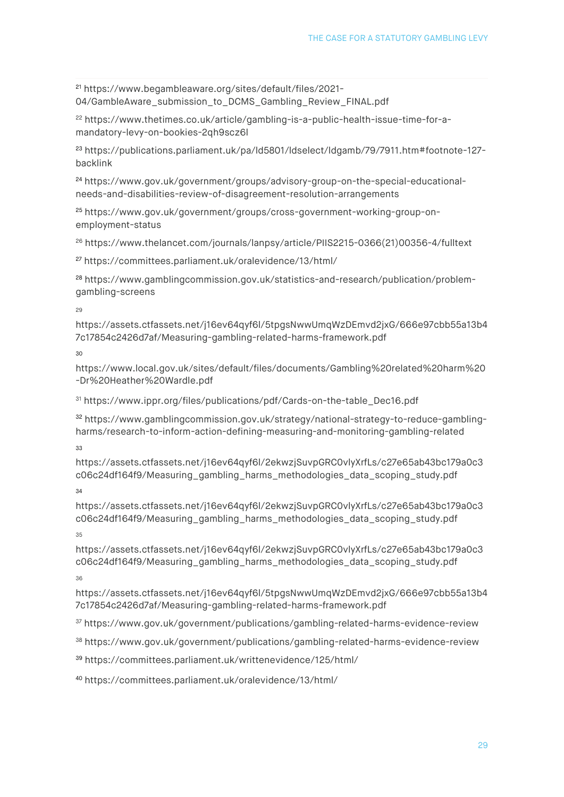<span id="page-28-0"></span><sup>21</sup> [https://www.begambleaware.org/sites/default/files/2021-](https://www.begambleaware.org/sites/default/files/2021-04/GambleAware_submission_to_DCMS_Gambling_Review_FINAL.pdf) [04/GambleAware\\_submission\\_to\\_DCMS\\_Gambling\\_Review\\_FINAL.pdf](https://www.begambleaware.org/sites/default/files/2021-04/GambleAware_submission_to_DCMS_Gambling_Review_FINAL.pdf)

<span id="page-28-1"></span><sup>22</sup> [https://www.thetimes.co.uk/article/gambling-is-a-public-health-issue-time-for-a](https://www.thetimes.co.uk/article/gambling-is-a-public-health-issue-time-for-a-mandatory-levy-on-bookies-2qh9scz6l)[mandatory-levy-on-bookies-2qh9scz6l](https://www.thetimes.co.uk/article/gambling-is-a-public-health-issue-time-for-a-mandatory-levy-on-bookies-2qh9scz6l)

<span id="page-28-2"></span><sup>23</sup> [https://publications.parliament.uk/pa/ld5801/ldselect/ldgamb/79/7911.htm#footnote-127](https://publications.parliament.uk/pa/ld5801/ldselect/ldgamb/79/7911.htm#footnote-127-backlink) [backlink](https://publications.parliament.uk/pa/ld5801/ldselect/ldgamb/79/7911.htm#footnote-127-backlink)

<span id="page-28-3"></span><sup>24</sup> [https://www.gov.uk/government/groups/advisory-group-on-the-special-educational](https://www.gov.uk/government/groups/advisory-group-on-the-special-educational-needs-and-disabilities-review-of-disagreement-resolution-arrangements)[needs-and-disabilities-review-of-disagreement-resolution-arrangements](https://www.gov.uk/government/groups/advisory-group-on-the-special-educational-needs-and-disabilities-review-of-disagreement-resolution-arrangements)

<span id="page-28-4"></span><sup>25</sup> [https://www.gov.uk/government/groups/cross-government-working-group-on](https://www.gov.uk/government/groups/cross-government-working-group-on-employment-status)[employment-status](https://www.gov.uk/government/groups/cross-government-working-group-on-employment-status)

<span id="page-28-5"></span><sup>26</sup> https://www.thelancet.com/journals/lanpsy/article/PIIS2215-0366(21)00356-4/fulltext

<span id="page-28-6"></span><sup>27</sup> <https://committees.parliament.uk/oralevidence/13/html/>

<span id="page-28-7"></span><sup>28</sup> [https://www.gamblingcommission.gov.uk/statistics-and-research/publication/problem](https://www.gamblingcommission.gov.uk/statistics-and-research/publication/problem-gambling-screens)[gambling-screens](https://www.gamblingcommission.gov.uk/statistics-and-research/publication/problem-gambling-screens)

 $29$ 

<span id="page-28-8"></span>[https://assets.ctfassets.net/j16ev64qyf6l/5tpgsNwwUmqWzDEmvd2jxG/666e97cbb55a13b4](https://assets.ctfassets.net/j16ev64qyf6l/5tpgsNwwUmqWzDEmvd2jxG/666e97cbb55a13b47c17854c2426d7af/Measuring-gambling-related-harms-framework.pdf) [7c17854c2426d7af/Measuring-gambling-related-harms-framework.pdf](https://assets.ctfassets.net/j16ev64qyf6l/5tpgsNwwUmqWzDEmvd2jxG/666e97cbb55a13b47c17854c2426d7af/Measuring-gambling-related-harms-framework.pdf)

30

<span id="page-28-9"></span>[https://www.local.gov.uk/sites/default/files/documents/Gambling%20related%20harm%20](https://www.local.gov.uk/sites/default/files/documents/Gambling%20related%20harm%20-Dr%20Heather%20Wardle.pdf) [-Dr%20Heather%20Wardle.pdf](https://www.local.gov.uk/sites/default/files/documents/Gambling%20related%20harm%20-Dr%20Heather%20Wardle.pdf)

<span id="page-28-10"></span><sup>31</sup> [https://www.ippr.org/files/publications/pdf/Cards-on-the-table\\_Dec16.pdf](https://www.ippr.org/files/publications/pdf/Cards-on-the-table_Dec16.pdf)

<span id="page-28-11"></span><sup>32</sup> [https://www.gamblingcommission.gov.uk/strategy/national-strategy-to-reduce-gambling](https://www.gamblingcommission.gov.uk/strategy/national-strategy-to-reduce-gambling-harms/research-to-inform-action-defining-measuring-and-monitoring-gambling-related)[harms/research-to-inform-action-defining-measuring-and-monitoring-gambling-related](https://www.gamblingcommission.gov.uk/strategy/national-strategy-to-reduce-gambling-harms/research-to-inform-action-defining-measuring-and-monitoring-gambling-related)

33

<span id="page-28-12"></span>[https://assets.ctfassets.net/j16ev64qyf6l/2ekwzjSuvpGRC0vlyXrfLs/c27e65ab43bc179a0c3](https://assets.ctfassets.net/j16ev64qyf6l/2ekwzjSuvpGRC0vlyXrfLs/c27e65ab43bc179a0c3c06c24df164f9/Measuring_gambling_harms_methodologies_data_scoping_study.pdf) [c06c24df164f9/Measuring\\_gambling\\_harms\\_methodologies\\_data\\_scoping\\_study.pdf](https://assets.ctfassets.net/j16ev64qyf6l/2ekwzjSuvpGRC0vlyXrfLs/c27e65ab43bc179a0c3c06c24df164f9/Measuring_gambling_harms_methodologies_data_scoping_study.pdf)

34

<span id="page-28-13"></span>[https://assets.ctfassets.net/j16ev64qyf6l/2ekwzjSuvpGRC0vlyXrfLs/c27e65ab43bc179a0c3](https://assets.ctfassets.net/j16ev64qyf6l/2ekwzjSuvpGRC0vlyXrfLs/c27e65ab43bc179a0c3c06c24df164f9/Measuring_gambling_harms_methodologies_data_scoping_study.pdf) [c06c24df164f9/Measuring\\_gambling\\_harms\\_methodologies\\_data\\_scoping\\_study.pdf](https://assets.ctfassets.net/j16ev64qyf6l/2ekwzjSuvpGRC0vlyXrfLs/c27e65ab43bc179a0c3c06c24df164f9/Measuring_gambling_harms_methodologies_data_scoping_study.pdf) 35

<span id="page-28-14"></span>[https://assets.ctfassets.net/j16ev64qyf6l/2ekwzjSuvpGRC0vlyXrfLs/c27e65ab43bc179a0c3](https://assets.ctfassets.net/j16ev64qyf6l/2ekwzjSuvpGRC0vlyXrfLs/c27e65ab43bc179a0c3c06c24df164f9/Measuring_gambling_harms_methodologies_data_scoping_study.pdf) [c06c24df164f9/Measuring\\_gambling\\_harms\\_methodologies\\_data\\_scoping\\_study.pdf](https://assets.ctfassets.net/j16ev64qyf6l/2ekwzjSuvpGRC0vlyXrfLs/c27e65ab43bc179a0c3c06c24df164f9/Measuring_gambling_harms_methodologies_data_scoping_study.pdf)

36

<span id="page-28-15"></span>https://assets.ctfassets.net/j16ev64qyf6l/5tpgsNwwUmqWzDEmvd2jxG/666e97cbb55a13b4 7c17854c2426d7af/Measuring-gambling-related-harms-framework.pdf

<span id="page-28-16"></span><sup>37</sup> <https://www.gov.uk/government/publications/gambling-related-harms-evidence-review>

<span id="page-28-17"></span><sup>38</sup> <https://www.gov.uk/government/publications/gambling-related-harms-evidence-review>

<span id="page-28-18"></span><sup>39</sup> <https://committees.parliament.uk/writtenevidence/125/html/>

<span id="page-28-19"></span><sup>40</sup> <https://committees.parliament.uk/oralevidence/13/html/>